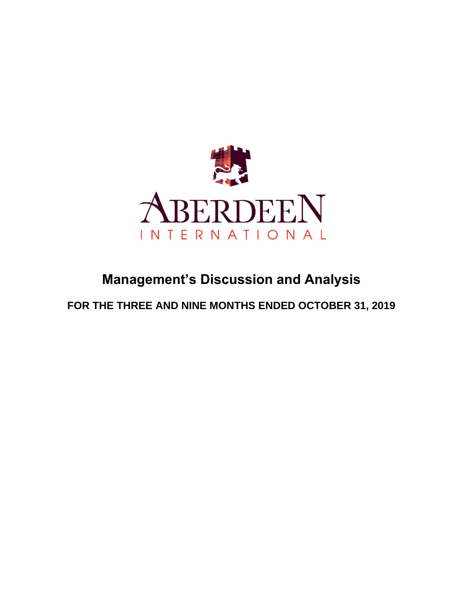

# **Management's Discussion and Analysis**

**FOR THE THREE AND NINE MONTHS ENDED OCTOBER 31, 2019**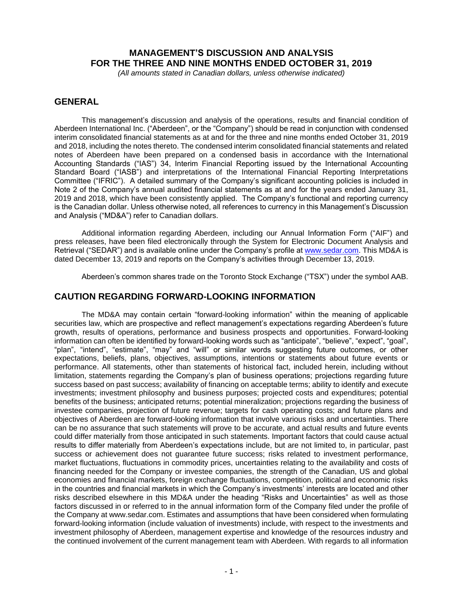# **MANAGEMENT'S DISCUSSION AND ANALYSIS FOR THE THREE AND NINE MONTHS ENDED OCTOBER 31, 2019**

*(All amounts stated in Canadian dollars, unless otherwise indicated)*

# **GENERAL**

This management's discussion and analysis of the operations, results and financial condition of Aberdeen International Inc. ("Aberdeen", or the "Company") should be read in conjunction with condensed interim consolidated financial statements as at and for the three and nine months ended October 31, 2019 and 2018, including the notes thereto. The condensed interim consolidated financial statements and related notes of Aberdeen have been prepared on a condensed basis in accordance with the International Accounting Standards ("IAS") 34, Interim Financial Reporting issued by the International Accounting Standard Board ("IASB") and interpretations of the International Financial Reporting Interpretations Committee ("IFRIC"). A detailed summary of the Company's significant accounting policies is included in Note 2 of the Company's annual audited financial statements as at and for the years ended January 31, 2019 and 2018, which have been consistently applied. The Company's functional and reporting currency is the Canadian dollar. Unless otherwise noted, all references to currency in this Management's Discussion and Analysis ("MD&A") refer to Canadian dollars.

Additional information regarding Aberdeen, including our Annual Information Form ("AIF") and press releases, have been filed electronically through the System for Electronic Document Analysis and Retrieval ("SEDAR") and is available online under the Company's profile at [www.sedar.com.](http://www.sedar.com/) This MD&A is dated December 13, 2019 and reports on the Company's activities through December 13, 2019.

Aberdeen's common shares trade on the Toronto Stock Exchange ("TSX") under the symbol AAB.

# **CAUTION REGARDING FORWARD-LOOKING INFORMATION**

The MD&A may contain certain "forward-looking information" within the meaning of applicable securities law, which are prospective and reflect management's expectations regarding Aberdeen's future growth, results of operations, performance and business prospects and opportunities. Forward-looking information can often be identified by forward-looking words such as "anticipate", "believe", "expect", "goal", "plan", "intend", "estimate", "may" and "will" or similar words suggesting future outcomes, or other expectations, beliefs, plans, objectives, assumptions, intentions or statements about future events or performance. All statements, other than statements of historical fact, included herein, including without limitation, statements regarding the Company's plan of business operations; projections regarding future success based on past success; availability of financing on acceptable terms; ability to identify and execute investments; investment philosophy and business purposes; projected costs and expenditures; potential benefits of the business; anticipated returns; potential mineralization; projections regarding the business of investee companies, projection of future revenue; targets for cash operating costs; and future plans and objectives of Aberdeen are forward-looking information that involve various risks and uncertainties. There can be no assurance that such statements will prove to be accurate, and actual results and future events could differ materially from those anticipated in such statements. Important factors that could cause actual results to differ materially from Aberdeen's expectations include, but are not limited to, in particular, past success or achievement does not guarantee future success; risks related to investment performance, market fluctuations, fluctuations in commodity prices, uncertainties relating to the availability and costs of financing needed for the Company or investee companies, the strength of the Canadian, US and global economies and financial markets, foreign exchange fluctuations, competition, political and economic risks in the countries and financial markets in which the Company's investments' interests are located and other risks described elsewhere in this MD&A under the heading "Risks and Uncertainties" as well as those factors discussed in or referred to in the annual information form of the Company filed under the profile of the Company at www.sedar.com. Estimates and assumptions that have been considered when formulating forward-looking information (include valuation of investments) include, with respect to the investments and investment philosophy of Aberdeen, management expertise and knowledge of the resources industry and the continued involvement of the current management team with Aberdeen. With regards to all information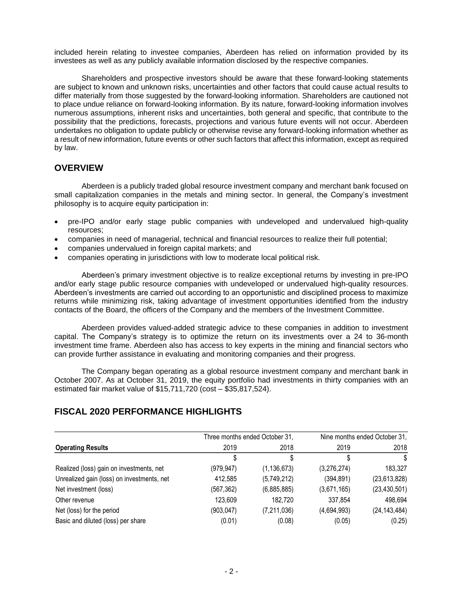included herein relating to investee companies, Aberdeen has relied on information provided by its investees as well as any publicly available information disclosed by the respective companies.

Shareholders and prospective investors should be aware that these forward-looking statements are subject to known and unknown risks, uncertainties and other factors that could cause actual results to differ materially from those suggested by the forward-looking information. Shareholders are cautioned not to place undue reliance on forward-looking information. By its nature, forward-looking information involves numerous assumptions, inherent risks and uncertainties, both general and specific, that contribute to the possibility that the predictions, forecasts, projections and various future events will not occur. Aberdeen undertakes no obligation to update publicly or otherwise revise any forward-looking information whether as a result of new information, future events or other such factors that affect this information, except as required by law.

# **OVERVIEW**

Aberdeen is a publicly traded global resource investment company and merchant bank focused on small capitalization companies in the metals and mining sector. In general, the Company's investment philosophy is to acquire equity participation in:

- pre-IPO and/or early stage public companies with undeveloped and undervalued high-quality resources;
- companies in need of managerial, technical and financial resources to realize their full potential;
- companies undervalued in foreign capital markets; and
- companies operating in jurisdictions with low to moderate local political risk.

Aberdeen's primary investment objective is to realize exceptional returns by investing in pre-IPO and/or early stage public resource companies with undeveloped or undervalued high-quality resources. Aberdeen's investments are carried out according to an opportunistic and disciplined process to maximize returns while minimizing risk, taking advantage of investment opportunities identified from the industry contacts of the Board, the officers of the Company and the members of the Investment Committee.

Aberdeen provides valued-added strategic advice to these companies in addition to investment capital. The Company's strategy is to optimize the return on its investments over a 24 to 36-month investment time frame. Aberdeen also has access to key experts in the mining and financial sectors who can provide further assistance in evaluating and monitoring companies and their progress.

The Company began operating as a global resource investment company and merchant bank in October 2007. As at October 31, 2019, the equity portfolio had investments in thirty companies with an estimated fair market value of \$15,711,720 (cost – \$35,817,524).

# **FISCAL 2020 PERFORMANCE HIGHLIGHTS**

|                                            | Three months ended October 31, |               | Nine months ended October 31, |                |  |
|--------------------------------------------|--------------------------------|---------------|-------------------------------|----------------|--|
| <b>Operating Results</b>                   | 2019                           | 2018          | 2019                          | 2018           |  |
|                                            |                                | S             |                               | S              |  |
| Realized (loss) gain on investments, net   | (979, 947)                     | (1, 136, 673) | (3,276,274)                   | 183,327        |  |
| Unrealized gain (loss) on investments, net | 412,585                        | (5,749,212)   | (394, 891)                    | (23,613,828)   |  |
| Net investment (loss)                      | (567, 362)                     | (6,885,885)   | (3,671,165)                   | (23, 430, 501) |  |
| Other revenue                              | 123,609                        | 182,720       | 337,854                       | 498,694        |  |
| Net (loss) for the period                  | (903, 047)                     | (7,211,036)   | (4,694,993)                   | (24, 143, 484) |  |
| Basic and diluted (loss) per share         | (0.01)                         | (0.08)        | (0.05)                        | (0.25)         |  |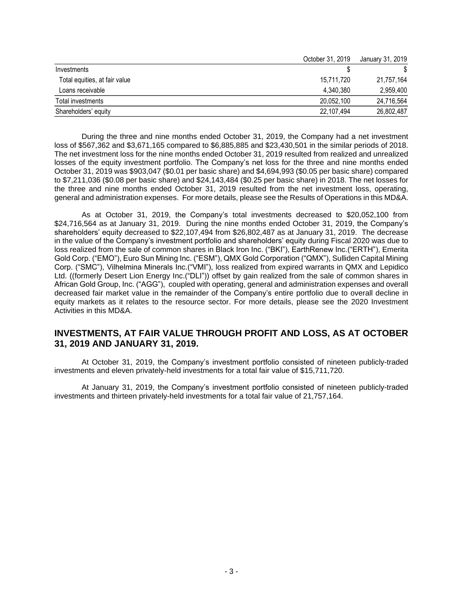|                               | October 31, 2019 | January 31, 2019 |
|-------------------------------|------------------|------------------|
| Investments                   |                  |                  |
| Total equities, at fair value | 15,711,720       | 21,757,164       |
| Loans receivable              | 4.340.380        | 2,959,400        |
| Total investments             | 20.052.100       | 24,716,564       |
| Shareholders' equity          | 22,107,494       | 26,802,487       |

During the three and nine months ended October 31, 2019, the Company had a net investment loss of \$567,362 and \$3,671,165 compared to \$6,885,885 and \$23,430,501 in the similar periods of 2018. The net investment loss for the nine months ended October 31, 2019 resulted from realized and unrealized losses of the equity investment portfolio. The Company's net loss for the three and nine months ended October 31, 2019 was \$903,047 (\$0.01 per basic share) and \$4,694,993 (\$0.05 per basic share) compared to \$7,211,036 (\$0.08 per basic share) and \$24,143,484 (\$0.25 per basic share) in 2018. The net losses for the three and nine months ended October 31, 2019 resulted from the net investment loss, operating, general and administration expenses. For more details, please see the Results of Operations in this MD&A.

As at October 31, 2019, the Company's total investments decreased to \$20,052,100 from \$24,716,564 as at January 31, 2019. During the nine months ended October 31, 2019, the Company's shareholders' equity decreased to \$22,107,494 from \$26,802,487 as at January 31, 2019. The decrease in the value of the Company's investment portfolio and shareholders' equity during Fiscal 2020 was due to loss realized from the sale of common shares in Black Iron Inc. ("BKI"), EarthRenew Inc.("ERTH"), Emerita Gold Corp. ("EMO"), Euro Sun Mining Inc. ("ESM"), QMX Gold Corporation ("QMX"), Sulliden Capital Mining Corp. ("SMC"), Vilhelmina Minerals Inc.("VMI"), loss realized from expired warrants in QMX and Lepidico Ltd. ((formerly Desert Lion Energy Inc.("DLI")) offset by gain realized from the sale of common shares in African Gold Group, Inc. ("AGG"), coupled with operating, general and administration expenses and overall decreased fair market value in the remainder of the Company's entire portfolio due to overall decline in equity markets as it relates to the resource sector. For more details, please see the 2020 Investment Activities in this MD&A.

# **INVESTMENTS, AT FAIR VALUE THROUGH PROFIT AND LOSS, AS AT OCTOBER 31, 2019 AND JANUARY 31, 2019.**

At October 31, 2019, the Company's investment portfolio consisted of nineteen publicly-traded investments and eleven privately-held investments for a total fair value of \$15,711,720.

At January 31, 2019, the Company's investment portfolio consisted of nineteen publicly-traded investments and thirteen privately-held investments for a total fair value of 21,757,164.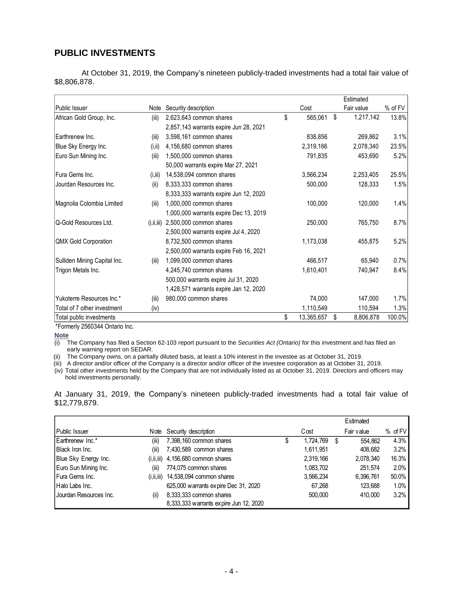# **PUBLIC INVESTMENTS**

At October 31, 2019, the Company's nineteen publicly-traded investments had a total fair value of \$8,806,878.

|                              |          |                                        |                  | Estimated       |         |
|------------------------------|----------|----------------------------------------|------------------|-----------------|---------|
| Public Issuer                | Note     | Security description                   | Cost             | Fair value      | % of FV |
| African Gold Group, Inc.     | (iii)    | 2,623,643 common shares                | \$<br>565,061    | \$<br>1,217,142 | 13.8%   |
|                              |          | 2,857,143 warrants expire Jun 28, 2021 |                  |                 |         |
| Earthrenew Inc.              | (iii)    | 3,598,161 common shares                | 838,856          | 269,862         | 3.1%    |
| Blue Sky Energy Inc.         | (i, ii)  | 4,156,680 common shares                | 2,319,166        | 2,078,340       | 23.5%   |
| Euro Sun Mining Inc.         | (iii)    | 1,500,000 common shares                | 791,835          | 453,690         | 5.2%    |
|                              |          | 50,000 warrants expire Mar 27, 2021    |                  |                 |         |
| Fura Gems Inc.               | (i, iii) | 14,538,094 common shares               | 3,566,234        | 2,253,405       | 25.5%   |
| Jourdan Resources Inc.       | (ii)     | 8,333,333 common shares                | 500,000          | 128,333         | 1.5%    |
|                              |          | 8,333,333 warrants expire Jun 12, 2020 |                  |                 |         |
| Magnolia Colombia Limited    | (iii)    | 1,000,000 common shares                | 100,000          | 120,000         | 1.4%    |
|                              |          | 1,000,000 warrants expire Dec 13, 2019 |                  |                 |         |
| Q-Gold Resources Ltd.        |          | $(i, ii, iii)$ 2,500,000 common shares | 250,000          | 765,750         | 8.7%    |
|                              |          | 2,500,000 warrants expire Jul 4, 2020  |                  |                 |         |
| <b>QMX Gold Corporation</b>  |          | 8,732,500 common shares                | 1,173,038        | 455,875         | 5.2%    |
|                              |          | 2,500,000 warrants expire Feb 16, 2021 |                  |                 |         |
| Sulliden Mining Capital Inc. | (iii)    | 1,099,000 common shares                | 466,517          | 65,940          | 0.7%    |
| Trigon Metals Inc.           |          | 4,245,740 common shares                | 1,610,401        | 740,947         | 8.4%    |
|                              |          | 500,000 warrants expire Jul 31, 2020   |                  |                 |         |
|                              |          | 1,428,571 warrants expire Jan 12, 2020 |                  |                 |         |
| Yukoterre Resources Inc.*    | (iii)    | 980,000 common shares                  | 74,000           | 147,000         | 1.7%    |
| Total of 7 other investment  | (iv)     |                                        | 1,110,549        | 110,594         | 1.3%    |
| Total public investments     |          |                                        | \$<br>13,365,657 | \$<br>8,806,878 | 100.0%  |

\*Formerly 2560344 Ontario Inc.

**Note**

(i) The Company has filed a Section 62-103 report pursuant to the *Securities Act (Ontario)* for this investment and has filed an early warning report on SEDAR.

(ii) The Company owns, on a partially diluted basis, at least a 10% interest in the investee as at October 31, 2019.

(iii) A director and/or officer of the Company is a director and/or officer of the investee corporation as at October 31, 2019.

(iv) Total other investments held by the Company that are not individually listed as at October 31, 2019. Directors and officers may hold investments personally.

At January 31, 2019, the Company's nineteen publicly-traded investments had a total fair value of \$12,779,879.

|                        |              |                                        |   |           |   | Estimated  |           |
|------------------------|--------------|----------------------------------------|---|-----------|---|------------|-----------|
| <b>Public Issuer</b>   | Note         | Security description                   |   | Cost      |   | Fair value | $%$ of FV |
| Earthrenew Inc.*       | (iii)        | 7,398,160 common shares                | Φ | 1,724,769 | S | 554.862    | 4.3%      |
| Black Iron Inc.        | (iii)        | 7,430,589 common shares                |   | 1,611,951 |   | 408,682    | 3.2%      |
| Blue Sky Energy Inc.   |              | $(i, ii, iii)$ 4,156,680 common shares |   | 2.319.166 |   | 2,078,340  | 16.3%     |
| Euro Sun Mining Inc.   | (iii)        | 774,075 common shares                  |   | 1,083,702 |   | 251.574    | $2.0\%$   |
| Fura Gems Inc.         | (i, ii, iii) | 14,538,094 common shares               |   | 3,566,234 |   | 6,396,761  | 50.0%     |
| Halo Labs Inc.         |              | 625,000 warrants expire Dec 31, 2020   |   | 67,268    |   | 123.688    | $1.0\%$   |
| Jourdan Resources Inc. | (ii)         | 8,333,333 common shares                |   | 500.000   |   | 410.000    | 3.2%      |
|                        |              | 8,333,333 warrants expire Jun 12, 2020 |   |           |   |            |           |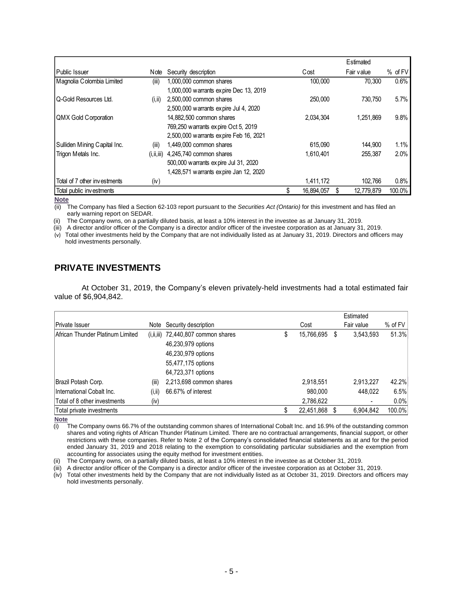|                              |              |                                        |            | Estimated        |         |
|------------------------------|--------------|----------------------------------------|------------|------------------|---------|
| Public Issuer                | Note         | Security description                   | Cost       | Fair value       | % of FV |
| Magnolia Colombia Limited    | (iii)        | 1,000,000 common shares                | 100.000    | 70.300           | 0.6%    |
|                              |              | 1,000,000 warrants expire Dec 13, 2019 |            |                  |         |
| Q-Gold Resources Ltd.        | (i, ii)      | 2,500,000 common shares                | 250,000    | 730.750          | 5.7%    |
|                              |              | 2,500,000 warrants expire Jul 4, 2020  |            |                  |         |
| QMX Gold Corporation         |              | 14,882,500 common shares               | 2.034.304  | 1.251.869        | 9.8%    |
|                              |              | 769,250 warrants expire Oct 5, 2019    |            |                  |         |
|                              |              | 2,500,000 warrants expire Feb 16, 2021 |            |                  |         |
| Sulliden Mining Capital Inc. | (iii)        | 1,449,000 common shares                | 615.090    | 144.900          | 1.1%    |
| Trigon Metals Inc.           | (i, ii, iii) | 4,245,740 common shares                | 1.610.401  | 255.387          | 2.0%    |
|                              |              | 500,000 warrants expire Jul 31, 2020   |            |                  |         |
|                              |              | 1,428,571 warrants expire Jan 12, 2020 |            |                  |         |
| Total of 7 other investments | (iv)         |                                        | 1,411,172  | 102.766          | 0.8%    |
| Total public investments     |              |                                        | 16,894,057 | \$<br>12,779,879 | 100.0%  |

**Note**

(ii) The Company has filed a Section 62-103 report pursuant to the *Securities Act (Ontario)* for this investment and has filed an early warning report on SEDAR.

(ii) The Company owns, on a partially diluted basis, at least a 10% interest in the investee as at January 31, 2019.

(iii) A director and/or officer of the Company is a director and/or officer of the investee corporation as at January 31, 2019.

(v) Total other investments held by the Company that are not individually listed as at January 31, 2019. Directors and officers may hold investments personally.

# **PRIVATE INVESTMENTS**

At October 31, 2019, the Company's eleven privately-held investments had a total estimated fair value of \$6,904,842.

|                                  |         |                                         |   |            |   | Estimated  |           |
|----------------------------------|---------|-----------------------------------------|---|------------|---|------------|-----------|
| Private Issuer                   |         | Note Security description               |   | Cost       |   | Fair value | $%$ of FV |
| African Thunder Platinum Limited |         | $(i, ii, iii)$ 72,440,807 common shares | S | 15,766,695 | S | 3,543,593  | 51.3%     |
|                                  |         | 46,230,979 options                      |   |            |   |            |           |
|                                  |         | 46,230,979 options                      |   |            |   |            |           |
|                                  |         | 55,477,175 options                      |   |            |   |            |           |
|                                  |         | 64,723,371 options                      |   |            |   |            |           |
| Brazil Potash Corp.              | (iii)   | 2,213,698 common shares                 |   | 2,918,551  |   | 2,913,227  | 42.2%     |
| International Cobalt Inc.        | (i, ii) | 66.67% of interest                      |   | 980,000    |   | 448,022    | 6.5%      |
| Total of 8 other investments     | (iv)    |                                         |   | 2,786,622  |   |            | 0.0%      |
| Total private investments        |         |                                         |   | 22,451,868 |   | 6,904,842  | 100.0%    |

**Note**

 $\overline{10}$  The Company owns 66.7% of the outstanding common shares of International Cobalt Inc. and 16.9% of the outstanding common shares and voting rights of African Thunder Platinum Limited. There are no contractual arrangements, financial support, or other restrictions with these companies. Refer to Note 2 of the Company's consolidated financial statements as at and for the period ended January 31, 2019 and 2018 relating to the exemption to consolidating particular subsidiaries and the exemption from accounting for associates using the equity method for investment entities.

(ii) The Company owns, on a partially diluted basis, at least a 10% interest in the investee as at October 31, 2019.

(iii) A director and/or officer of the Company is a director and/or officer of the investee corporation as at October 31, 2019.

(iv) Total other investments held by the Company that are not individually listed as at October 31, 2019. Directors and officers may hold investments personally.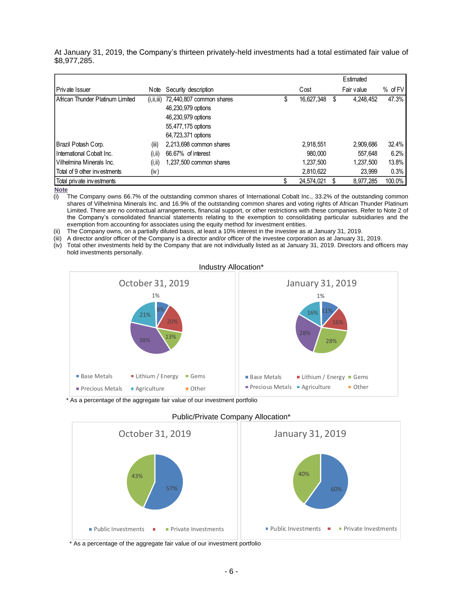At January 31, 2019, the Company's thirteen privately-held investments had a total estimated fair value of \$8,977,285.

|                                  |              |                          |   |            |   | Estimated  |             |
|----------------------------------|--------------|--------------------------|---|------------|---|------------|-------------|
| <b>IPrivate Issuer</b>           | Note         | Security description     |   | Cost       |   | Fair value | $%$ of $FV$ |
| African Thunder Platinum Limited | (i, ii, iii) | 72,440,807 common shares | ง | 16,627,348 | S | 4,248,452  | 47.3%       |
|                                  |              | 46,230,979 options       |   |            |   |            |             |
|                                  |              | 46,230,979 options       |   |            |   |            |             |
|                                  |              | 55,477,175 options       |   |            |   |            |             |
|                                  |              | 64,723,371 options       |   |            |   |            |             |
| Brazil Potash Corp.              | (iii)        | 2,213,698 common shares  |   | 2,918,551  |   | 2,909,686  | 32.4%       |
| I International Cobalt Inc.      | (i, ii)      | 66.67% of interest       |   | 980.000    |   | 557.648    | 6.2%        |
| l Vilhelmina Minerals Inc.       | (i, ii)      | 1,237,500 common shares  |   | 1,237,500  |   | 1,237,500  | 13.8%       |
| Total of 9 other investments     | (iv)         |                          |   | 2,810,622  |   | 23,999     | 0.3%        |
| Total private investments        |              |                          |   | 24,574,021 |   | 8.977.285  | 100.0%      |

**Note** 

The Company owns 66.7% of the outstanding common shares of International Cobalt Inc., 33.2% of the outstanding common shares of Vilhelmina Minerals Inc. and 16.9% of the outstanding common shares and voting rights of African Thunder Platinum Limited. There are no contractual arrangements, financial support, or other restrictions with these companies. Refer to Note 2 of the Company's consolidated financial statements relating to the exemption to consolidating particular subsidiaries and the exemption from accounting for associates using the equity method for investment entities.

The Company owns, on a partially diluted basis, at least a 10% interest in the investee as at January 31, 2019.

(iii) A director and/or officer of the Company is a director and/or officer of the investee corporation as at January 31, 2019.

(iv) Total other investments held by the Company that are not individually listed as at January 31, 2019. Directors and officers may hold investments personally.



\* As a percentage of the aggregate fair value of our investment portfolio



Public/Private Company Allocation\*

\* As a percentage of the aggregate fair value of our investment portfolio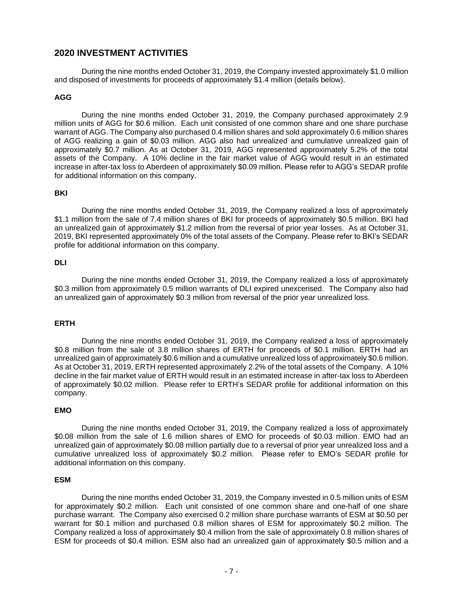# **2020 INVESTMENT ACTIVITIES**

During the nine months ended October 31, 2019, the Company invested approximately \$1.0 million and disposed of investments for proceeds of approximately \$1.4 million (details below).

### **AGG**

During the nine months ended October 31, 2019, the Company purchased approximately 2.9 million units of AGG for \$0.6 million. Each unit consisted of one common share and one share purchase warrant of AGG. The Company also purchased 0.4 million shares and sold approximately 0.6 million shares of AGG realizing a gain of \$0.03 million. AGG also had unrealized and cumulative unrealized gain of approximately \$0.7 million. As at October 31, 2019, AGG represented approximately 5.2% of the total assets of the Company. A 10% decline in the fair market value of AGG would result in an estimated increase in after-tax loss to Aberdeen of approximately \$0.09 million. Please refer to AGG's SEDAR profile for additional information on this company.

#### **BKI**

During the nine months ended October 31, 2019, the Company realized a loss of approximately \$1.1 million from the sale of 7.4 million shares of BKI for proceeds of approximately \$0.5 million. BKI had an unrealized gain of approximately \$1.2 million from the reversal of prior year losses. As at October 31, 2019, BKI represented approximately 0% of the total assets of the Company. Please refer to BKI's SEDAR profile for additional information on this company.

### **DLI**

During the nine months ended October 31, 2019, the Company realized a loss of approximately \$0.3 million from approximately 0.5 million warrants of DLI expired unexcerised. The Company also had an unrealized gain of approximately \$0.3 million from reversal of the prior year unrealized loss.

### **ERTH**

During the nine months ended October 31, 2019, the Company realized a loss of approximately \$0.8 million from the sale of 3.8 million shares of ERTH for proceeds of \$0.1 million. ERTH had an unrealized gain of approximately \$0.6 million and a cumulative unrealized loss of approximately \$0.6 million. As at October 31, 2019, ERTH represented approximately 2.2% of the total assets of the Company. A 10% decline in the fair market value of ERTH would result in an estimated increase in after-tax loss to Aberdeen of approximately \$0.02 million. Please refer to ERTH's SEDAR profile for additional information on this company.

#### **EMO**

During the nine months ended October 31, 2019, the Company realized a loss of approximately \$0.08 million from the sale of 1.6 million shares of EMO for proceeds of \$0.03 million. EMO had an unrealized gain of approximately \$0.08 million partially due to a reversal of prior year unrealized loss and a cumulative unrealized loss of approximately \$0.2 million. Please refer to EMO's SEDAR profile for additional information on this company.

#### **ESM**

During the nine months ended October 31, 2019, the Company invested in 0.5 million units of ESM for approximately \$0.2 million. Each unit consisted of one common share and one-half of one share purchase warrant. The Company also exercised 0.2 million share purchase warrants of ESM at \$0.50 per warrant for \$0.1 million and purchased 0.8 million shares of ESM for approximately \$0.2 million. The Company realized a loss of approximately \$0.4 million from the sale of approximately 0.8 million shares of ESM for proceeds of \$0.4 million. ESM also had an unrealized gain of approximately \$0.5 million and a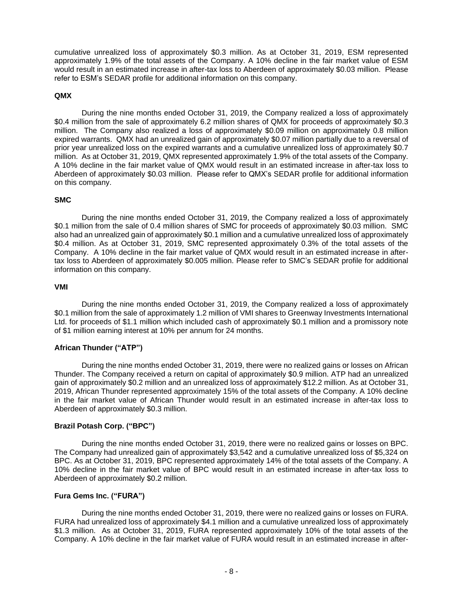cumulative unrealized loss of approximately \$0.3 million. As at October 31, 2019, ESM represented approximately 1.9% of the total assets of the Company. A 10% decline in the fair market value of ESM would result in an estimated increase in after-tax loss to Aberdeen of approximately \$0.03 million. Please refer to ESM's SEDAR profile for additional information on this company.

### **QMX**

During the nine months ended October 31, 2019, the Company realized a loss of approximately \$0.4 million from the sale of approximately 6.2 million shares of QMX for proceeds of approximately \$0.3 million. The Company also realized a loss of approximately \$0.09 million on approximately 0.8 million expired warrants. QMX had an unrealized gain of approximately \$0.07 million partially due to a reversal of prior year unrealized loss on the expired warrants and a cumulative unrealized loss of approximately \$0.7 million. As at October 31, 2019, QMX represented approximately 1.9% of the total assets of the Company. A 10% decline in the fair market value of QMX would result in an estimated increase in after-tax loss to Aberdeen of approximately \$0.03 million. Please refer to QMX's SEDAR profile for additional information on this company.

### **SMC**

During the nine months ended October 31, 2019, the Company realized a loss of approximately \$0.1 million from the sale of 0.4 million shares of SMC for proceeds of approximately \$0.03 million. SMC also had an unrealized gain of approximately \$0.1 million and a cumulative unrealized loss of approximately \$0.4 million. As at October 31, 2019, SMC represented approximately 0.3% of the total assets of the Company. A 10% decline in the fair market value of QMX would result in an estimated increase in aftertax loss to Aberdeen of approximately \$0.005 million. Please refer to SMC's SEDAR profile for additional information on this company.

### **VMI**

During the nine months ended October 31, 2019, the Company realized a loss of approximately \$0.1 million from the sale of approximately 1.2 million of VMI shares to Greenway Investments International Ltd. for proceeds of \$1.1 million which included cash of approximately \$0.1 million and a promissory note of \$1 million earning interest at 10% per annum for 24 months.

### **African Thunder ("ATP")**

During the nine months ended October 31, 2019, there were no realized gains or losses on African Thunder. The Company received a return on capital of approximately \$0.9 million. ATP had an unrealized gain of approximately \$0.2 million and an unrealized loss of approximately \$12.2 million. As at October 31, 2019, African Thunder represented approximately 15% of the total assets of the Company. A 10% decline in the fair market value of African Thunder would result in an estimated increase in after-tax loss to Aberdeen of approximately \$0.3 million.

### **Brazil Potash Corp. ("BPC")**

During the nine months ended October 31, 2019, there were no realized gains or losses on BPC. The Company had unrealized gain of approximately \$3,542 and a cumulative unrealized loss of \$5,324 on BPC. As at October 31, 2019, BPC represented approximately 14% of the total assets of the Company. A 10% decline in the fair market value of BPC would result in an estimated increase in after-tax loss to Aberdeen of approximately \$0.2 million.

### **Fura Gems Inc. ("FURA")**

During the nine months ended October 31, 2019, there were no realized gains or losses on FURA. FURA had unrealized loss of approximately \$4.1 million and a cumulative unrealized loss of approximately \$1.3 million. As at October 31, 2019, FURA represented approximately 10% of the total assets of the Company. A 10% decline in the fair market value of FURA would result in an estimated increase in after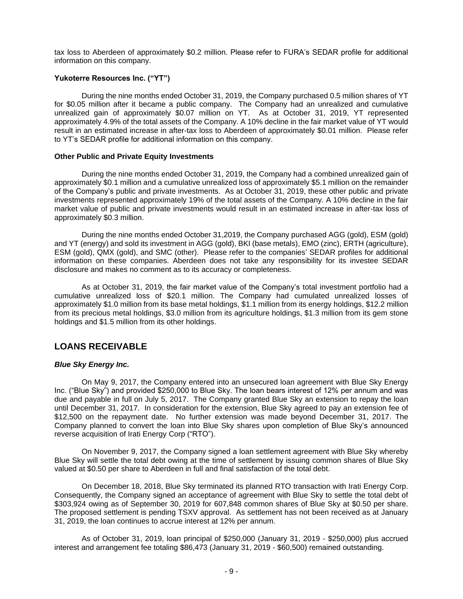tax loss to Aberdeen of approximately \$0.2 million. Please refer to FURA's SEDAR profile for additional information on this company.

### **Yukoterre Resources Inc. ("YT")**

During the nine months ended October 31, 2019, the Company purchased 0.5 million shares of YT for \$0.05 million after it became a public company. The Company had an unrealized and cumulative unrealized gain of approximately \$0.07 million on YT. As at October 31, 2019, YT represented approximately 4.9% of the total assets of the Company. A 10% decline in the fair market value of YT would result in an estimated increase in after-tax loss to Aberdeen of approximately \$0.01 million. Please refer to YT's SEDAR profile for additional information on this company.

#### **Other Public and Private Equity Investments**

During the nine months ended October 31, 2019, the Company had a combined unrealized gain of approximately \$0.1 million and a cumulative unrealized loss of approximately \$5.1 million on the remainder of the Company's public and private investments. As at October 31, 2019, these other public and private investments represented approximately 19% of the total assets of the Company. A 10% decline in the fair market value of public and private investments would result in an estimated increase in after-tax loss of approximately \$0.3 million.

During the nine months ended October 31,2019, the Company purchased AGG (gold), ESM (gold) and YT (energy) and sold its investment in AGG (gold), BKI (base metals), EMO (zinc), ERTH (agriculture), ESM (gold), QMX (gold), and SMC (other). Please refer to the companies' SEDAR profiles for additional information on these companies. Aberdeen does not take any responsibility for its investee SEDAR disclosure and makes no comment as to its accuracy or completeness.

As at October 31, 2019, the fair market value of the Company's total investment portfolio had a cumulative unrealized loss of \$20.1 million. The Company had cumulated unrealized losses of approximately \$1.0 million from its base metal holdings, \$1.1 million from its energy holdings, \$12.2 million from its precious metal holdings, \$3.0 million from its agriculture holdings, \$1.3 million from its gem stone holdings and \$1.5 million from its other holdings.

# **LOANS RECEIVABLE**

### *Blue Sky Energy Inc.*

On May 9, 2017, the Company entered into an unsecured loan agreement with Blue Sky Energy Inc. ("Blue Sky") and provided \$250,000 to Blue Sky. The loan bears interest of 12% per annum and was due and payable in full on July 5, 2017. The Company granted Blue Sky an extension to repay the loan until December 31, 2017. In consideration for the extension, Blue Sky agreed to pay an extension fee of \$12,500 on the repayment date. No further extension was made beyond December 31, 2017. The Company planned to convert the loan into Blue Sky shares upon completion of Blue Sky's announced reverse acquisition of Irati Energy Corp ("RTO").

On November 9, 2017, the Company signed a loan settlement agreement with Blue Sky whereby Blue Sky will settle the total debt owing at the time of settlement by issuing common shares of Blue Sky valued at \$0.50 per share to Aberdeen in full and final satisfaction of the total debt.

On December 18, 2018, Blue Sky terminated its planned RTO transaction with Irati Energy Corp. Consequently, the Company signed an acceptance of agreement with Blue Sky to settle the total debt of \$303,924 owing as of September 30, 2019 for 607,848 common shares of Blue Sky at \$0.50 per share. The proposed settlement is pending TSXV approval. As settlement has not been received as at January 31, 2019, the loan continues to accrue interest at 12% per annum.

As of October 31, 2019, loan principal of \$250,000 (January 31, 2019 - \$250,000) plus accrued interest and arrangement fee totaling \$86,473 (January 31, 2019 - \$60,500) remained outstanding.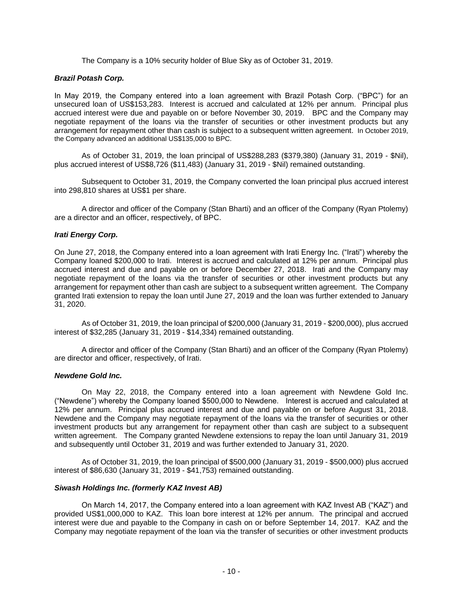The Company is a 10% security holder of Blue Sky as of October 31, 2019.

#### *Brazil Potash Corp.*

In May 2019, the Company entered into a loan agreement with Brazil Potash Corp. ("BPC") for an unsecured loan of US\$153,283. Interest is accrued and calculated at 12% per annum. Principal plus accrued interest were due and payable on or before November 30, 2019. BPC and the Company may negotiate repayment of the loans via the transfer of securities or other investment products but any arrangement for repayment other than cash is subject to a subsequent written agreement. In October 2019, the Company advanced an additional US\$135,000 to BPC.

As of October 31, 2019, the loan principal of US\$288,283 (\$379,380) (January 31, 2019 - \$Nil), plus accrued interest of US\$8,726 (\$11,483) (January 31, 2019 - \$Nil) remained outstanding.

Subsequent to October 31, 2019, the Company converted the loan principal plus accrued interest into 298,810 shares at US\$1 per share.

A director and officer of the Company (Stan Bharti) and an officer of the Company (Ryan Ptolemy) are a director and an officer, respectively, of BPC.

#### *Irati Energy Corp.*

On June 27, 2018, the Company entered into a loan agreement with Irati Energy Inc. ("Irati") whereby the Company loaned \$200,000 to Irati. Interest is accrued and calculated at 12% per annum. Principal plus accrued interest and due and payable on or before December 27, 2018. Irati and the Company may negotiate repayment of the loans via the transfer of securities or other investment products but any arrangement for repayment other than cash are subject to a subsequent written agreement. The Company granted Irati extension to repay the loan until June 27, 2019 and the loan was further extended to January 31, 2020.

As of October 31, 2019, the loan principal of \$200,000 (January 31, 2019 - \$200,000), plus accrued interest of \$32,285 (January 31, 2019 - \$14,334) remained outstanding.

A director and officer of the Company (Stan Bharti) and an officer of the Company (Ryan Ptolemy) are director and officer, respectively, of Irati.

#### *Newdene Gold Inc.*

On May 22, 2018, the Company entered into a loan agreement with Newdene Gold Inc. ("Newdene") whereby the Company loaned \$500,000 to Newdene. Interest is accrued and calculated at 12% per annum. Principal plus accrued interest and due and payable on or before August 31, 2018. Newdene and the Company may negotiate repayment of the loans via the transfer of securities or other investment products but any arrangement for repayment other than cash are subject to a subsequent written agreement. The Company granted Newdene extensions to repay the loan until January 31, 2019 and subsequently until October 31, 2019 and was further extended to January 31, 2020.

As of October 31, 2019, the loan principal of \$500,000 (January 31, 2019 - \$500,000) plus accrued interest of \$86,630 (January 31, 2019 - \$41,753) remained outstanding.

#### *Siwash Holdings Inc. (formerly KAZ Invest AB)*

On March 14, 2017, the Company entered into a loan agreement with KAZ Invest AB ("KAZ") and provided US\$1,000,000 to KAZ. This loan bore interest at 12% per annum. The principal and accrued interest were due and payable to the Company in cash on or before September 14, 2017. KAZ and the Company may negotiate repayment of the loan via the transfer of securities or other investment products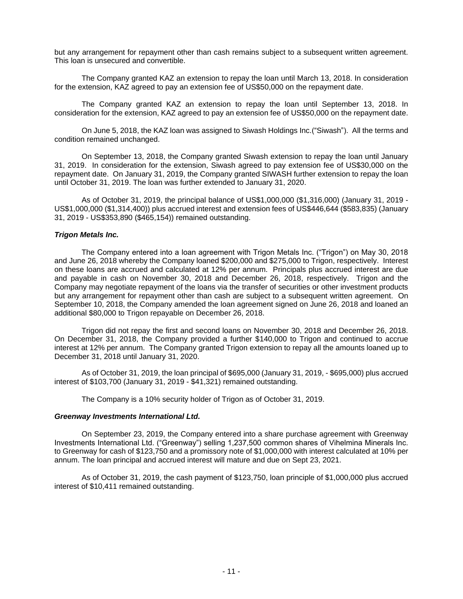but any arrangement for repayment other than cash remains subject to a subsequent written agreement. This loan is unsecured and convertible.

The Company granted KAZ an extension to repay the loan until March 13, 2018. In consideration for the extension, KAZ agreed to pay an extension fee of US\$50,000 on the repayment date.

The Company granted KAZ an extension to repay the loan until September 13, 2018. In consideration for the extension, KAZ agreed to pay an extension fee of US\$50,000 on the repayment date.

On June 5, 2018, the KAZ loan was assigned to Siwash Holdings Inc.("Siwash"). All the terms and condition remained unchanged.

On September 13, 2018, the Company granted Siwash extension to repay the loan until January 31, 2019. In consideration for the extension, Siwash agreed to pay extension fee of US\$30,000 on the repayment date. On January 31, 2019, the Company granted SIWASH further extension to repay the loan until October 31, 2019. The loan was further extended to January 31, 2020.

As of October 31, 2019, the principal balance of US\$1,000,000 (\$1,316,000) (January 31, 2019 - US\$1,000,000 (\$1,314,400)) plus accrued interest and extension fees of US\$446,644 (\$583,835) (January 31, 2019 - US\$353,890 (\$465,154)) remained outstanding.

### *Trigon Metals Inc.*

The Company entered into a loan agreement with Trigon Metals Inc. ("Trigon") on May 30, 2018 and June 26, 2018 whereby the Company loaned \$200,000 and \$275,000 to Trigon, respectively. Interest on these loans are accrued and calculated at 12% per annum. Principals plus accrued interest are due and payable in cash on November 30, 2018 and December 26, 2018, respectively. Trigon and the Company may negotiate repayment of the loans via the transfer of securities or other investment products but any arrangement for repayment other than cash are subject to a subsequent written agreement. On September 10, 2018, the Company amended the loan agreement signed on June 26, 2018 and loaned an additional \$80,000 to Trigon repayable on December 26, 2018.

Trigon did not repay the first and second loans on November 30, 2018 and December 26, 2018. On December 31, 2018, the Company provided a further \$140,000 to Trigon and continued to accrue interest at 12% per annum. The Company granted Trigon extension to repay all the amounts loaned up to December 31, 2018 until January 31, 2020.

As of October 31, 2019, the loan principal of \$695,000 (January 31, 2019, - \$695,000) plus accrued interest of \$103,700 (January 31, 2019 - \$41,321) remained outstanding.

The Company is a 10% security holder of Trigon as of October 31, 2019.

#### *Greenway Investments International Ltd.*

On September 23, 2019, the Company entered into a share purchase agreement with Greenway Investments International Ltd. ("Greenway") selling 1,237,500 common shares of Vihelmina Minerals Inc. to Greenway for cash of \$123,750 and a promissory note of \$1,000,000 with interest calculated at 10% per annum. The loan principal and accrued interest will mature and due on Sept 23, 2021.

As of October 31, 2019, the cash payment of \$123,750, loan principle of \$1,000,000 plus accrued interest of \$10,411 remained outstanding.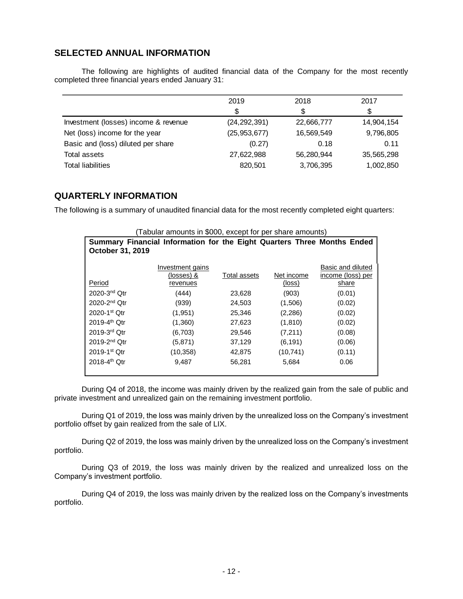# **SELECTED ANNUAL INFORMATION**

The following are highlights of audited financial data of the Company for the most recently completed three financial years ended January 31:

|                                      | 2019           | 2018       | 2017       |
|--------------------------------------|----------------|------------|------------|
|                                      | S.             | \$         |            |
| Investment (losses) income & revenue | (24, 292, 391) | 22,666,777 | 14,904,154 |
| Net (loss) income for the year       | (25, 953, 677) | 16,569,549 | 9,796,805  |
| Basic and (loss) diluted per share   | (0.27)         | 0.18       | 0.11       |
| Total assets                         | 27,622,988     | 56,280,944 | 35,565,298 |
| <b>Total liabilities</b>             | 820,501        | 3,706,395  | 1,002,850  |

# **QUARTERLY INFORMATION**

The following is a summary of unaudited financial data for the most recently completed eight quarters:

| (Tabular amounts in \$000, except for per share amounts) |                                                                         |              |            |                   |  |  |  |  |
|----------------------------------------------------------|-------------------------------------------------------------------------|--------------|------------|-------------------|--|--|--|--|
|                                                          | Summary Financial Information for the Eight Quarters Three Months Ended |              |            |                   |  |  |  |  |
| October 31, 2019                                         |                                                                         |              |            |                   |  |  |  |  |
|                                                          | Investment gains                                                        |              |            | Basic and diluted |  |  |  |  |
|                                                          | (losses) &                                                              | Total assets | Net income | income (loss) per |  |  |  |  |
| Period                                                   | revenues                                                                |              | (loss)     | share             |  |  |  |  |
| $2020 - 3nd$ Otr                                         | (444)                                                                   | 23,628       | (903)      | (0.01)            |  |  |  |  |
| 2020-2 <sup>nd</sup> Otr                                 | (939)                                                                   | 24,503       | (1,506)    | (0.02)            |  |  |  |  |
| 2020-1st Otr                                             | (1,951)                                                                 | 25,346       | (2,286)    | (0.02)            |  |  |  |  |
| $2019 - 4$ <sup>th</sup> Otr                             | (1,360)                                                                 | 27,623       | (1,810)    | (0.02)            |  |  |  |  |
| $2019-3rd$ Otr                                           | (6,703)                                                                 | 29,546       | (7,211)    | (0.08)            |  |  |  |  |
| $2019 - 2nd$ Otr                                         | (5,871)                                                                 | 37,129       | (6, 191)   | (0.06)            |  |  |  |  |
| $2019 - 1$ <sup>st</sup> Otr                             | (10, 358)                                                               | 42.875       | (10, 741)  | (0.11)            |  |  |  |  |
| $2018 - 4$ <sup>th</sup> Otr                             | 9.487                                                                   | 56,281       | 5,684      | 0.06              |  |  |  |  |
|                                                          |                                                                         |              |            |                   |  |  |  |  |

During Q4 of 2018, the income was mainly driven by the realized gain from the sale of public and private investment and unrealized gain on the remaining investment portfolio.

During Q1 of 2019, the loss was mainly driven by the unrealized loss on the Company's investment portfolio offset by gain realized from the sale of LIX.

During Q2 of 2019, the loss was mainly driven by the unrealized loss on the Company's investment portfolio.

During Q3 of 2019, the loss was mainly driven by the realized and unrealized loss on the Company's investment portfolio.

During Q4 of 2019, the loss was mainly driven by the realized loss on the Company's investments portfolio.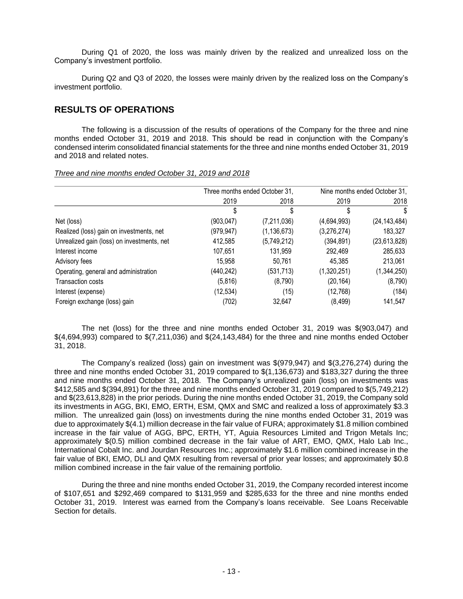During Q1 of 2020, the loss was mainly driven by the realized and unrealized loss on the Company's investment portfolio.

During Q2 and Q3 of 2020, the losses were mainly driven by the realized loss on the Company's investment portfolio.

# **RESULTS OF OPERATIONS**

The following is a discussion of the results of operations of the Company for the three and nine months ended October 31, 2019 and 2018. This should be read in conjunction with the Company's condensed interim consolidated financial statements for the three and nine months ended October 31, 2019 and 2018 and related notes.

|                                            | Three months ended October 31, |               |             | Nine months ended October 31, |
|--------------------------------------------|--------------------------------|---------------|-------------|-------------------------------|
|                                            | 2019                           | 2018          | 2019        | 2018                          |
|                                            | S                              | S             | \$          | \$                            |
| Net (loss)                                 | (903, 047)                     | (7, 211, 036) | (4,694,993) | (24, 143, 484)                |
| Realized (loss) gain on investments, net   | (979, 947)                     | (1, 136, 673) | (3,276,274) | 183,327                       |
| Unrealized gain (loss) on investments, net | 412,585                        | (5,749,212)   | (394, 891)  | (23,613,828)                  |
| Interest income                            | 107,651                        | 131,959       | 292,469     | 285,633                       |
| Advisory fees                              | 15,958                         | 50.761        | 45,385      | 213,061                       |
| Operating, general and administration      | (440, 242)                     | (531, 713)    | (1,320,251) | (1,344,250)                   |
| <b>Transaction costs</b>                   | (5,816)                        | (8,790)       | (20, 164)   | (8,790)                       |
| Interest (expense)                         | (12, 534)                      | (15)          | (12,768)    | (184)                         |
| Foreign exchange (loss) gain               | (702)                          | 32.647        | (8, 499)    | 141,547                       |

*Three and nine months ended October 31, 2019 and 2018*

The net (loss) for the three and nine months ended October 31, 2019 was \$(903,047) and \$(4,694,993) compared to \$(7,211,036) and \$(24,143,484) for the three and nine months ended October 31, 2018.

The Company's realized (loss) gain on investment was \$(979,947) and \$(3,276,274) during the three and nine months ended October 31, 2019 compared to \$(1,136,673) and \$183,327 during the three and nine months ended October 31, 2018. The Company's unrealized gain (loss) on investments was \$412,585 and \$(394,891) for the three and nine months ended October 31, 2019 compared to \$(5,749,212) and \$(23,613,828) in the prior periods. During the nine months ended October 31, 2019, the Company sold its investments in AGG, BKI, EMO, ERTH, ESM, QMX and SMC and realized a loss of approximately \$3.3 million. The unrealized gain (loss) on investments during the nine months ended October 31, 2019 was due to approximately \$(4.1) million decrease in the fair value of FURA; approximately \$1.8 million combined increase in the fair value of AGG, BPC, ERTH, YT, Aguia Resources Limited and Trigon Metals Inc; approximately \$(0.5) million combined decrease in the fair value of ART, EMO, QMX, Halo Lab Inc., International Cobalt Inc. and Jourdan Resources Inc.; approximately \$1.6 million combined increase in the fair value of BKI, EMO, DLI and QMX resulting from reversal of prior year losses; and approximately \$0.8 million combined increase in the fair value of the remaining portfolio.

During the three and nine months ended October 31, 2019, the Company recorded interest income of \$107,651 and \$292,469 compared to \$131,959 and \$285,633 for the three and nine months ended October 31, 2019. Interest was earned from the Company's loans receivable. See Loans Receivable Section for details.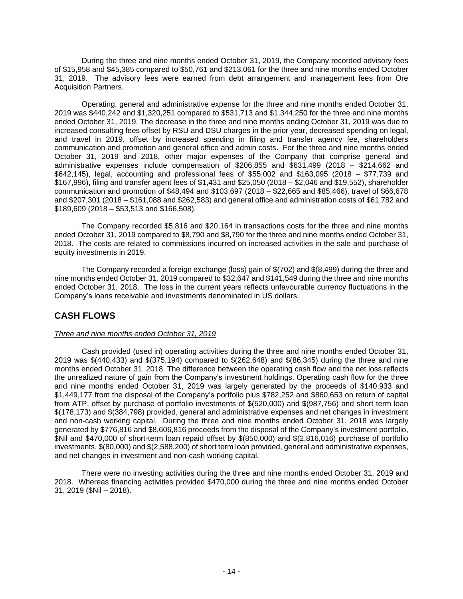During the three and nine months ended October 31, 2019, the Company recorded advisory fees of \$15,958 and \$45,385 compared to \$50,761 and \$213,061 for the three and nine months ended October 31, 2019. The advisory fees were earned from debt arrangement and management fees from Ore Acquisition Partners.

Operating, general and administrative expense for the three and nine months ended October 31, 2019 was \$440,242 and \$1,320,251 compared to \$531,713 and \$1,344,250 for the three and nine months ended October 31, 2019. The decrease in the three and nine months ending October 31, 2019 was due to increased consulting fees offset by RSU and DSU charges in the prior year, decreased spending on legal, and travel in 2019, offset by increased spending in filing and transfer agency fee, shareholders communication and promotion and general office and admin costs. For the three and nine months ended October 31, 2019 and 2018, other major expenses of the Company that comprise general and administrative expenses include compensation of \$206,855 and \$631,499 (2018 – \$214,662 and \$642,145), legal, accounting and professional fees of \$55,002 and \$163,095 (2018 – \$77,739 and \$167,996), filing and transfer agent fees of \$1,431 and \$25,050 (2018 – \$2,046 and \$19,552), shareholder communication and promotion of \$48,494 and \$103,697 (2018 – \$22,665 and \$85,466), travel of \$66,678 and \$207,301 (2018 – \$161,088 and \$262,583) and general office and administration costs of \$61,782 and \$189,609 (2018 – \$53,513 and \$166,508).

The Company recorded \$5,816 and \$20,164 in transactions costs for the three and nine months ended October 31, 2019 compared to \$8,790 and \$8,790 for the three and nine months ended October 31, 2018. The costs are related to commissions incurred on increased activities in the sale and purchase of equity investments in 2019.

The Company recorded a foreign exchange (loss) gain of \$(702) and \$(8,499) during the three and nine months ended October 31, 2019 compared to \$32,647 and \$141,549 during the three and nine months ended October 31, 2018. The loss in the current years reflects unfavourable currency fluctuations in the Company's loans receivable and investments denominated in US dollars.

# **CASH FLOWS**

### *Three and nine months ended October 31, 2019*

Cash provided (used in) operating activities during the three and nine months ended October 31, 2019 was \$(440,433) and \$(375,194) compared to \$(262,648) and \$(86,345) during the three and nine months ended October 31, 2018. The difference between the operating cash flow and the net loss reflects the unrealized nature of gain from the Company's investment holdings. Operating cash flow for the three and nine months ended October 31, 2019 was largely generated by the proceeds of \$140,933 and \$1,449,177 from the disposal of the Company's portfolio plus \$782,252 and \$860,653 on return of capital from ATP, offset by purchase of portfolio investments of \$(520,000) and \$(987,756) and short term loan \$(178,173) and \$(384,798) provided, general and administrative expenses and net changes in investment and non-cash working capital. During the three and nine months ended October 31, 2018 was largely generated by \$776,816 and \$8,606,816 proceeds from the disposal of the Company's investment portfolio, \$Nil and \$470,000 of short-term loan repaid offset by \$(850,000) and \$(2,816,016) purchase of portfolio investments, \$(80,000) and \$(2,588,200) of short term loan provided, general and administrative expenses, and net changes in investment and non-cash working capital.

There were no investing activities during the three and nine months ended October 31, 2019 and 2018. Whereas financing activities provided \$470,000 during the three and nine months ended October 31, 2019 (\$Nil – 2018).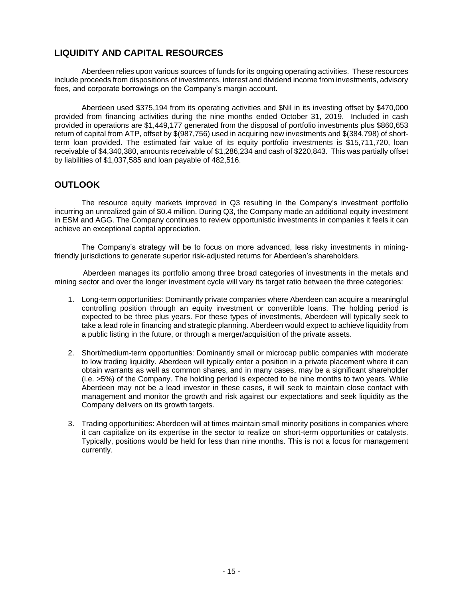# **LIQUIDITY AND CAPITAL RESOURCES**

Aberdeen relies upon various sources of funds for its ongoing operating activities. These resources include proceeds from dispositions of investments, interest and dividend income from investments, advisory fees, and corporate borrowings on the Company's margin account.

Aberdeen used \$375,194 from its operating activities and \$Nil in its investing offset by \$470,000 provided from financing activities during the nine months ended October 31, 2019. Included in cash provided in operations are \$1,449,177 generated from the disposal of portfolio investments plus \$860,653 return of capital from ATP, offset by \$(987,756) used in acquiring new investments and \$(384,798) of shortterm loan provided. The estimated fair value of its equity portfolio investments is \$15,711,720, loan receivable of \$4,340,380, amounts receivable of \$1,286,234 and cash of \$220,843. This was partially offset by liabilities of \$1,037,585 and loan payable of 482,516.

# **OUTLOOK**

The resource equity markets improved in Q3 resulting in the Company's investment portfolio incurring an unrealized gain of \$0.4 million. During Q3, the Company made an additional equity investment in ESM and AGG. The Company continues to review opportunistic investments in companies it feels it can achieve an exceptional capital appreciation.

The Company's strategy will be to focus on more advanced, less risky investments in miningfriendly jurisdictions to generate superior risk-adjusted returns for Aberdeen's shareholders.

Aberdeen manages its portfolio among three broad categories of investments in the metals and mining sector and over the longer investment cycle will vary its target ratio between the three categories:

- 1. Long-term opportunities: Dominantly private companies where Aberdeen can acquire a meaningful controlling position through an equity investment or convertible loans. The holding period is expected to be three plus years. For these types of investments, Aberdeen will typically seek to take a lead role in financing and strategic planning. Aberdeen would expect to achieve liquidity from a public listing in the future, or through a merger/acquisition of the private assets.
- 2. Short/medium-term opportunities: Dominantly small or microcap public companies with moderate to low trading liquidity. Aberdeen will typically enter a position in a private placement where it can obtain warrants as well as common shares, and in many cases, may be a significant shareholder (i.e. >5%) of the Company. The holding period is expected to be nine months to two years. While Aberdeen may not be a lead investor in these cases, it will seek to maintain close contact with management and monitor the growth and risk against our expectations and seek liquidity as the Company delivers on its growth targets.
- 3. Trading opportunities: Aberdeen will at times maintain small minority positions in companies where it can capitalize on its expertise in the sector to realize on short-term opportunities or catalysts. Typically, positions would be held for less than nine months. This is not a focus for management currently.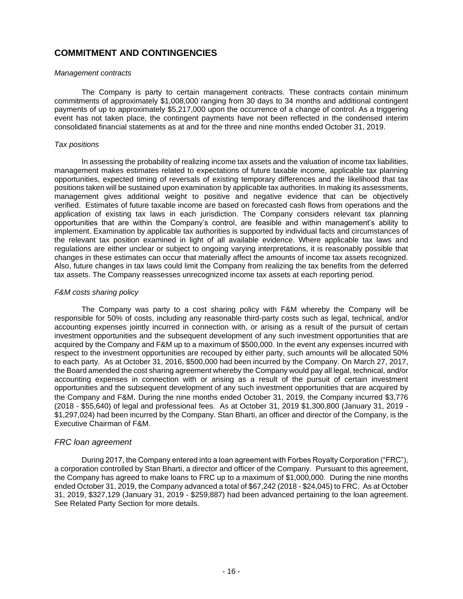# **COMMITMENT AND CONTINGENCIES**

### *Management contracts*

The Company is party to certain management contracts. These contracts contain minimum commitments of approximately \$1,008,000 ranging from 30 days to 34 months and additional contingent payments of up to approximately \$5,217,000 upon the occurrence of a change of control. As a triggering event has not taken place, the contingent payments have not been reflected in the condensed interim consolidated financial statements as at and for the three and nine months ended October 31, 2019.

### *Tax positions*

In assessing the probability of realizing income tax assets and the valuation of income tax liabilities, management makes estimates related to expectations of future taxable income, applicable tax planning opportunities, expected timing of reversals of existing temporary differences and the likelihood that tax positions taken will be sustained upon examination by applicable tax authorities. In making its assessments, management gives additional weight to positive and negative evidence that can be objectively verified. Estimates of future taxable income are based on forecasted cash flows from operations and the application of existing tax laws in each jurisdiction. The Company considers relevant tax planning opportunities that are within the Company's control, are feasible and within management's ability to implement. Examination by applicable tax authorities is supported by individual facts and circumstances of the relevant tax position examined in light of all available evidence. Where applicable tax laws and regulations are either unclear or subject to ongoing varying interpretations, it is reasonably possible that changes in these estimates can occur that materially affect the amounts of income tax assets recognized. Also, future changes in tax laws could limit the Company from realizing the tax benefits from the deferred tax assets. The Company reassesses unrecognized income tax assets at each reporting period.

### *F&M costs sharing policy*

The Company was party to a cost sharing policy with F&M whereby the Company will be responsible for 50% of costs, including any reasonable third-party costs such as legal, technical, and/or accounting expenses jointly incurred in connection with, or arising as a result of the pursuit of certain investment opportunities and the subsequent development of any such investment opportunities that are acquired by the Company and F&M up to a maximum of \$500,000. In the event any expenses incurred with respect to the investment opportunities are recouped by either party, such amounts will be allocated 50% to each party. As at October 31, 2016, \$500,000 had been incurred by the Company. On March 27, 2017, the Board amended the cost sharing agreement whereby the Company would pay all legal, technical, and/or accounting expenses in connection with or arising as a result of the pursuit of certain investment opportunities and the subsequent development of any such investment opportunities that are acquired by the Company and F&M. During the nine months ended October 31, 2019, the Company incurred \$3,776 (2018 - \$55,640) of legal and professional fees. As at October 31, 2019 \$1,300,800 (January 31, 2019 - \$1,297,024) had been incurred by the Company. Stan Bharti, an officer and director of the Company, is the Executive Chairman of F&M.

### *FRC loan agreement*

During 2017, the Company entered into a loan agreement with Forbes Royalty Corporation ("FRC"), a corporation controlled by Stan Bharti, a director and officer of the Company. Pursuant to this agreement, the Company has agreed to make loans to FRC up to a maximum of \$1,000,000. During the nine months ended October 31, 2019, the Company advanced a total of \$67,242 (2018 - \$24,045) to FRC. As at October 31, 2019, \$327,129 (January 31, 2019 - \$259,887) had been advanced pertaining to the loan agreement. See Related Party Section for more details.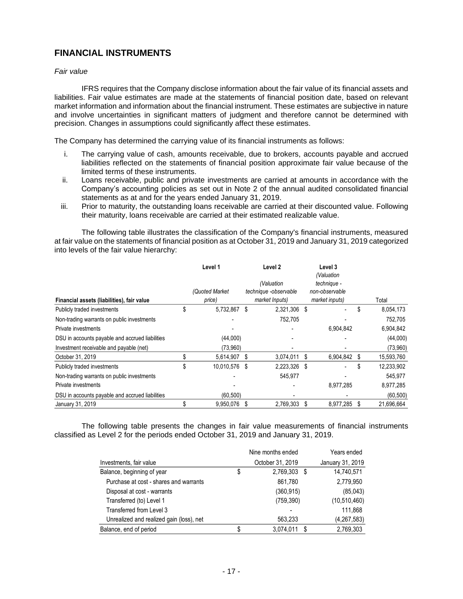# **FINANCIAL INSTRUMENTS**

### *Fair value*

IFRS requires that the Company disclose information about the fair value of its financial assets and liabilities. Fair value estimates are made at the statements of financial position date, based on relevant market information and information about the financial instrument. These estimates are subjective in nature and involve uncertainties in significant matters of judgment and therefore cannot be determined with precision. Changes in assumptions could significantly affect these estimates.

The Company has determined the carrying value of its financial instruments as follows:

- i. The carrying value of cash, amounts receivable, due to brokers, accounts payable and accrued liabilities reflected on the statements of financial position approximate fair value because of the limited terms of these instruments.
- ii. Loans receivable, public and private investments are carried at amounts in accordance with the Company's accounting policies as set out in Note 2 of the annual audited consolidated financial statements as at and for the years ended January 31, 2019.
- iii. Prior to maturity, the outstanding loans receivable are carried at their discounted value. Following their maturity, loans receivable are carried at their estimated realizable value.

The following table illustrates the classification of the Company's financial instruments, measured at fair value on the statements of financial position as at October 31, 2019 and January 31, 2019 categorized into levels of the fair value hierarchy:

|                                                 | Level 1             |      | Level 2                             |   | Level 3<br>(Valuation         |    |            |
|-------------------------------------------------|---------------------|------|-------------------------------------|---|-------------------------------|----|------------|
|                                                 | (Quoted Market      |      | (Valuation<br>technique -observable |   | technique -<br>non-observable |    |            |
| Financial assets (liabilities), fair value      | price)              |      | market Inputs)                      |   | market inputs)                |    | Total      |
| Publicly traded investments                     | \$<br>5,732,867     | S    | 2,321,306                           | S |                               | \$ | 8,054,173  |
| Non-trading warrants on public investments      |                     |      | 752,705                             |   |                               |    | 752,705    |
| Private investments                             |                     |      |                                     |   | 6,904,842                     |    | 6,904,842  |
| DSU in accounts payable and accrued liabilities | (44,000)            |      |                                     |   |                               |    | (44,000)   |
| Investment receivable and payable (net)         | (73,960)            |      |                                     |   |                               |    | (73,960)   |
| October 31, 2019                                | 5,614,907           | - \$ | 3,074,011                           | S | 6,904,842                     | S  | 15,593,760 |
| Publicly traded investments                     | \$<br>10,010,576 \$ |      | 2,223,326 \$                        |   |                               | \$ | 12,233,902 |
| Non-trading warrants on public investments      |                     |      | 545,977                             |   |                               |    | 545,977    |
| Private investments                             |                     |      |                                     |   | 8,977,285                     |    | 8,977,285  |
| DSU in accounts payable and accrued liabilities | (60, 500)           |      |                                     |   |                               |    | (60, 500)  |
| January 31, 2019                                | 9,950,076           | - \$ | 2,769,303                           | S | 8,977,285                     | S  | 21,696,664 |

The following table presents the changes in fair value measurements of financial instruments classified as Level 2 for the periods ended October 31, 2019 and January 31, 2019.

|                                          | Nine months ended  | Years ended      |
|------------------------------------------|--------------------|------------------|
| Investments, fair value                  | October 31, 2019   | January 31, 2019 |
| Balance, beginning of year               | \$<br>2,769,303 \$ | 14,740,571       |
| Purchase at cost - shares and warrants   | 861,780            | 2,779,950        |
| Disposal at cost - warrants              | (360.915)          | (85,043)         |
| Transferred (to) Level 1                 | (759, 390)         | (10, 510, 460)   |
| Transferred from Level 3                 |                    | 111.868          |
| Unrealized and realized gain (loss), net | 563.233            | (4, 267, 583)    |
| Balance, end of period                   | 3,074,011<br>- \$  | 2,769,303        |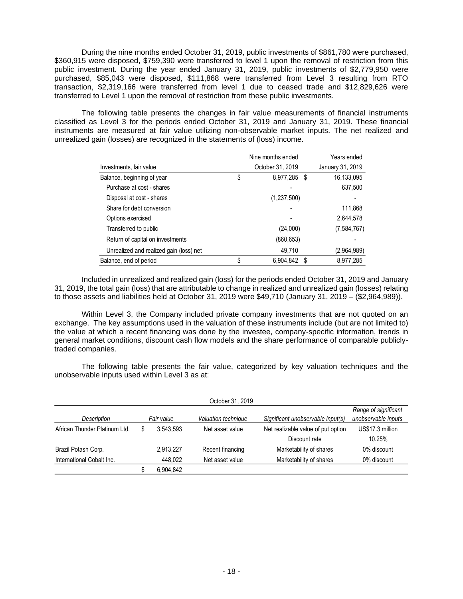During the nine months ended October 31, 2019, public investments of \$861,780 were purchased, \$360,915 were disposed, \$759,390 were transferred to level 1 upon the removal of restriction from this public investment. During the year ended January 31, 2019, public investments of \$2,779,950 were purchased, \$85,043 were disposed, \$111,868 were transferred from Level 3 resulting from RTO transaction, \$2,319,166 were transferred from level 1 due to ceased trade and \$12,829,626 were transferred to Level 1 upon the removal of restriction from these public investments.

The following table presents the changes in fair value measurements of financial instruments classified as Level 3 for the periods ended October 31, 2019 and January 31, 2019. These financial instruments are measured at fair value utilizing non-observable market inputs. The net realized and unrealized gain (losses) are recognized in the statements of (loss) income.

|                                         | Nine months ended |      | Years ended      |
|-----------------------------------------|-------------------|------|------------------|
| Investments, fair value                 | October 31, 2019  |      | January 31, 2019 |
| Balance, beginning of year              | \$<br>8,977,285   | - \$ | 16,133,095       |
| Purchase at cost - shares               |                   |      | 637,500          |
| Disposal at cost - shares               | (1,237,500)       |      |                  |
| Share for debt conversion               |                   |      | 111,868          |
| Options exercised                       |                   |      | 2,644,578        |
| Transferred to public                   | (24,000)          |      | (7,584,767)      |
| Return of capital on investments        | (860, 653)        |      |                  |
| Unrealized and realized gain (loss) net | 49.710            |      | (2,964,989)      |
| Balance, end of period                  | \$<br>6,904,842   | - \$ | 8,977,285        |

Included in unrealized and realized gain (loss) for the periods ended October 31, 2019 and January 31, 2019, the total gain (loss) that are attributable to change in realized and unrealized gain (losses) relating to those assets and liabilities held at October 31, 2019 were \$49,710 (January 31, 2019 – (\$2,964,989)).

Within Level 3, the Company included private company investments that are not quoted on an exchange. The key assumptions used in the valuation of these instruments include (but are not limited to) the value at which a recent financing was done by the investee, company-specific information, trends in general market conditions, discount cash flow models and the share performance of comparable publiclytraded companies.

The following table presents the fair value, categorized by key valuation techniques and the unobservable inputs used within Level 3 as at:

| October 31, 2019              |   |            |                     |                                    |                                             |
|-------------------------------|---|------------|---------------------|------------------------------------|---------------------------------------------|
| Description                   |   | Fair value | Valuation technique | Significant unobservable input(s)  | Range of significant<br>unobservable inputs |
| African Thunder Platinum Ltd. |   | 3.543.593  | Net asset value     | Net realizable value of put option | US\$17.3 million                            |
|                               |   |            |                     | Discount rate                      | 10.25%                                      |
| Brazil Potash Corp.           |   | 2,913,227  | Recent financing    | Marketability of shares            | 0% discount                                 |
| International Cobalt Inc.     |   | 448.022    | Net asset value     | Marketability of shares            | 0% discount                                 |
|                               | S | 6.904.842  |                     |                                    |                                             |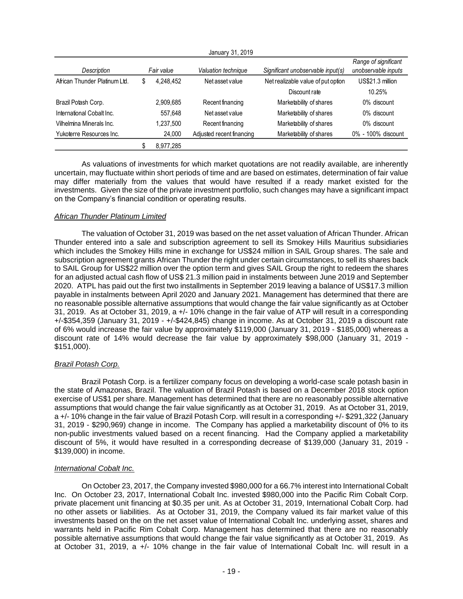|                               |                 | January 31, 2019          |                                    |                      |
|-------------------------------|-----------------|---------------------------|------------------------------------|----------------------|
|                               |                 |                           |                                    | Range of significant |
| Description                   | Fair value      | Valuation technique       | Significant unobservable input(s)  | unobservable inputs  |
| African Thunder Platinum Ltd. | \$<br>4.248.452 | Net asset value           | Net realizable value of put option | US\$21.3 million     |
|                               |                 |                           | Discount rate                      | 10.25%               |
| Brazil Potash Corp.           | 2,909,685       | Recent financing          | Marketability of shares            | 0% discount          |
| International Cobalt Inc.     | 557.648         | Net asset value           | Marketability of shares            | 0% discount          |
| Vilhelmina Minerals Inc.      | 1,237,500       | Recent financing          | Marketability of shares            | 0% discount          |
| Yukoterre Resources Inc.      | 24.000          | Adjusted recent financing | Marketability of shares            | 0% - 100% discount   |
|                               | 8,977,285       |                           |                                    |                      |

January 31, 2019

As valuations of investments for which market quotations are not readily available, are inherently uncertain, may fluctuate within short periods of time and are based on estimates, determination of fair value may differ materially from the values that would have resulted if a ready market existed for the investments. Given the size of the private investment portfolio, such changes may have a significant impact on the Company's financial condition or operating results.

### *African Thunder Platinum Limited*

The valuation of October 31, 2019 was based on the net asset valuation of African Thunder. African Thunder entered into a sale and subscription agreement to sell its Smokey Hills Mauritius subsidiaries which includes the Smokey Hills mine in exchange for US\$24 million in SAIL Group shares. The sale and subscription agreement grants African Thunder the right under certain circumstances, to sell its shares back to SAIL Group for US\$22 million over the option term and gives SAIL Group the right to redeem the shares for an adjusted actual cash flow of US\$ 21.3 million paid in instalments between June 2019 and September 2020. ATPL has paid out the first two installments in September 2019 leaving a balance of US\$17.3 million payable in instalments between April 2020 and January 2021. Management has determined that there are no reasonable possible alternative assumptions that would change the fair value significantly as at October 31, 2019. As at October 31, 2019, a +/- 10% change in the fair value of ATP will result in a corresponding +/-\$354,359 (January 31, 2019 - +/-\$424,845) change in income. As at October 31, 2019 a discount rate of 6% would increase the fair value by approximately \$119,000 (January 31, 2019 - \$185,000) whereas a discount rate of 14% would decrease the fair value by approximately \$98,000 (January 31, 2019 - \$151,000).

### *Brazil Potash Corp.*

Brazil Potash Corp. is a fertilizer company focus on developing a world-case scale potash basin in the state of Amazonas, Brazil. The valuation of Brazil Potash is based on a December 2018 stock option exercise of US\$1 per share. Management has determined that there are no reasonably possible alternative assumptions that would change the fair value significantly as at October 31, 2019. As at October 31, 2019, a +/- 10% change in the fair value of Brazil Potash Corp. will result in a corresponding +/- \$291,322 (January 31, 2019 - \$290,969) change in income. The Company has applied a marketability discount of 0% to its non-public investments valued based on a recent financing. Had the Company applied a marketability discount of 5%, it would have resulted in a corresponding decrease of \$139,000 (January 31, 2019 - \$139,000) in income.

### *International Cobalt Inc.*

On October 23, 2017, the Company invested \$980,000 for a 66.7% interest into International Cobalt Inc. On October 23, 2017, International Cobalt Inc. invested \$980,000 into the Pacific Rim Cobalt Corp. private placement unit financing at \$0.35 per unit. As at October 31, 2019, International Cobalt Corp. had no other assets or liabilities. As at October 31, 2019, the Company valued its fair market value of this investments based on the on the net asset value of International Cobalt Inc. underlying asset, shares and warrants held in Pacific Rim Cobalt Corp. Management has determined that there are no reasonably possible alternative assumptions that would change the fair value significantly as at October 31, 2019. As at October 31, 2019, a +/- 10% change in the fair value of International Cobalt Inc. will result in a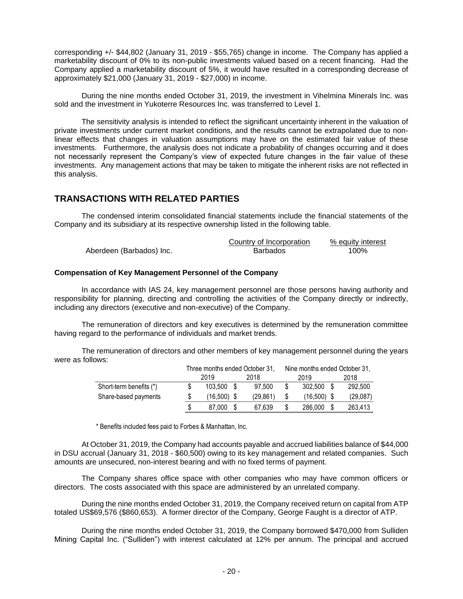corresponding +/- \$44,802 (January 31, 2019 - \$55,765) change in income. The Company has applied a marketability discount of 0% to its non-public investments valued based on a recent financing. Had the Company applied a marketability discount of 5%, it would have resulted in a corresponding decrease of approximately \$21,000 (January 31, 2019 - \$27,000) in income.

During the nine months ended October 31, 2019, the investment in Vihelmina Minerals Inc. was sold and the investment in Yukoterre Resources Inc. was transferred to Level 1.

The sensitivity analysis is intended to reflect the significant uncertainty inherent in the valuation of private investments under current market conditions, and the results cannot be extrapolated due to nonlinear effects that changes in valuation assumptions may have on the estimated fair value of these investments. Furthermore, the analysis does not indicate a probability of changes occurring and it does not necessarily represent the Company's view of expected future changes in the fair value of these investments. Any management actions that may be taken to mitigate the inherent risks are not reflected in this analysis.

# **TRANSACTIONS WITH RELATED PARTIES**

The condensed interim consolidated financial statements include the financial statements of the Company and its subsidiary at its respective ownership listed in the following table.

|                          | Country of Incorporation | % equity interest |
|--------------------------|--------------------------|-------------------|
| Aberdeen (Barbados) Inc. | Barbados                 | 100%              |

### **Compensation of Key Management Personnel of the Company**

In accordance with IAS 24, key management personnel are those persons having authority and responsibility for planning, directing and controlling the activities of the Company directly or indirectly, including any directors (executive and non-executive) of the Company.

The remuneration of directors and key executives is determined by the remuneration committee having regard to the performance of individuals and market trends.

The remuneration of directors and other members of key management personnel during the years were as follows:

|                         | Three months ended October 31. |  |          | Nine months ended October 31, |               |  |          |
|-------------------------|--------------------------------|--|----------|-------------------------------|---------------|--|----------|
|                         | 2019                           |  | 2018     |                               | 2019          |  | 2018     |
| Short-term benefits (*) | 103.500 \$                     |  | 97.500   |                               | 302.500 \$    |  | 292.500  |
| Share-based payments    | $(16.500)$ \$                  |  | (29.861) |                               | $(16,500)$ \$ |  | (29,087) |
|                         | 87.000                         |  | 67.639   |                               | 286,000       |  | 263,413  |

\* Benefits included fees paid to Forbes & Manhattan, Inc.

At October 31, 2019, the Company had accounts payable and accrued liabilities balance of \$44,000 in DSU accrual (January 31, 2018 - \$60,500) owing to its key management and related companies. Such amounts are unsecured, non-interest bearing and with no fixed terms of payment.

The Company shares office space with other companies who may have common officers or directors. The costs associated with this space are administered by an unrelated company.

During the nine months ended October 31, 2019, the Company received return on capital from ATP totaled US\$69,576 (\$860,653). A former director of the Company, George Faught is a director of ATP.

During the nine months ended October 31, 2019, the Company borrowed \$470,000 from Sulliden Mining Capital Inc. ("Sulliden") with interest calculated at 12% per annum. The principal and accrued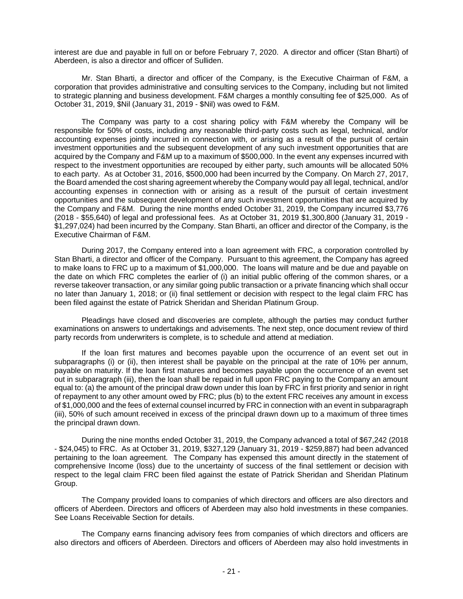interest are due and payable in full on or before February 7, 2020. A director and officer (Stan Bharti) of Aberdeen, is also a director and officer of Sulliden.

Mr. Stan Bharti, a director and officer of the Company, is the Executive Chairman of F&M, a corporation that provides administrative and consulting services to the Company, including but not limited to strategic planning and business development. F&M charges a monthly consulting fee of \$25,000. As of October 31, 2019, \$Nil (January 31, 2019 - \$Nil) was owed to F&M.

The Company was party to a cost sharing policy with F&M whereby the Company will be responsible for 50% of costs, including any reasonable third-party costs such as legal, technical, and/or accounting expenses jointly incurred in connection with, or arising as a result of the pursuit of certain investment opportunities and the subsequent development of any such investment opportunities that are acquired by the Company and F&M up to a maximum of \$500,000. In the event any expenses incurred with respect to the investment opportunities are recouped by either party, such amounts will be allocated 50% to each party. As at October 31, 2016, \$500,000 had been incurred by the Company. On March 27, 2017, the Board amended the cost sharing agreement whereby the Company would pay all legal, technical, and/or accounting expenses in connection with or arising as a result of the pursuit of certain investment opportunities and the subsequent development of any such investment opportunities that are acquired by the Company and F&M. During the nine months ended October 31, 2019, the Company incurred \$3,776 (2018 - \$55,640) of legal and professional fees. As at October 31, 2019 \$1,300,800 (January 31, 2019 - \$1,297,024) had been incurred by the Company. Stan Bharti, an officer and director of the Company, is the Executive Chairman of F&M.

During 2017, the Company entered into a loan agreement with FRC, a corporation controlled by Stan Bharti, a director and officer of the Company. Pursuant to this agreement, the Company has agreed to make loans to FRC up to a maximum of \$1,000,000. The loans will mature and be due and payable on the date on which FRC completes the earlier of (i) an initial public offering of the common shares, or a reverse takeover transaction, or any similar going public transaction or a private financing which shall occur no later than January 1, 2018; or (ii) final settlement or decision with respect to the legal claim FRC has been filed against the estate of Patrick Sheridan and Sheridan Platinum Group.

Pleadings have closed and discoveries are complete, although the parties may conduct further examinations on answers to undertakings and advisements. The next step, once document review of third party records from underwriters is complete, is to schedule and attend at mediation.

If the loan first matures and becomes payable upon the occurrence of an event set out in subparagraphs (i) or (ii), then interest shall be payable on the principal at the rate of 10% per annum, payable on maturity. If the loan first matures and becomes payable upon the occurrence of an event set out in subparagraph (iii), then the loan shall be repaid in full upon FRC paying to the Company an amount equal to: (a) the amount of the principal draw down under this loan by FRC in first priority and senior in right of repayment to any other amount owed by FRC; plus (b) to the extent FRC receives any amount in excess of \$1,000,000 and the fees of external counsel incurred by FRC in connection with an event in subparagraph (iii), 50% of such amount received in excess of the principal drawn down up to a maximum of three times the principal drawn down.

During the nine months ended October 31, 2019, the Company advanced a total of \$67,242 (2018 - \$24,045) to FRC. As at October 31, 2019, \$327,129 (January 31, 2019 - \$259,887) had been advanced pertaining to the loan agreement. The Company has expensed this amount directly in the statement of comprehensive Income (loss) due to the uncertainty of success of the final settlement or decision with respect to the legal claim FRC been filed against the estate of Patrick Sheridan and Sheridan Platinum Group.

The Company provided loans to companies of which directors and officers are also directors and officers of Aberdeen. Directors and officers of Aberdeen may also hold investments in these companies. See Loans Receivable Section for details.

The Company earns financing advisory fees from companies of which directors and officers are also directors and officers of Aberdeen. Directors and officers of Aberdeen may also hold investments in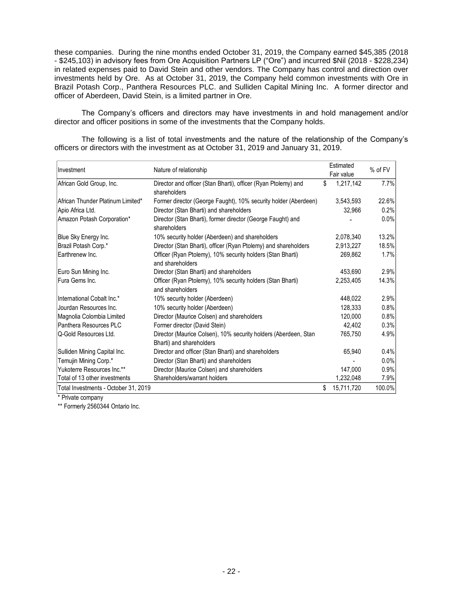these companies. During the nine months ended October 31, 2019, the Company earned \$45,385 (2018 - \$245,103) in advisory fees from Ore Acquisition Partners LP ("Ore") and incurred \$Nil (2018 - \$228,234) in related expenses paid to David Stein and other vendors. The Company has control and direction over investments held by Ore. As at October 31, 2019, the Company held common investments with Ore in Brazil Potash Corp., Panthera Resources PLC. and Sulliden Capital Mining Inc. A former director and officer of Aberdeen, David Stein, is a limited partner in Ore.

The Company's officers and directors may have investments in and hold management and/or director and officer positions in some of the investments that the Company holds.

The following is a list of total investments and the nature of the relationship of the Company's officers or directors with the investment as at October 31, 2019 and January 31, 2019.

|                                      | Nature of relationship                                                                      |    | Estimated  |         |
|--------------------------------------|---------------------------------------------------------------------------------------------|----|------------|---------|
| Investment                           |                                                                                             |    | Fair value | % of FV |
| African Gold Group, Inc.             | Director and officer (Stan Bharti), officer (Ryan Ptolemy) and<br>shareholders              | \$ | 1,217,142  | 7.7%    |
| African Thunder Platinum Limited*    | Former director (George Faught), 10% security holder (Aberdeen)                             |    | 3,543,593  | 22.6%   |
| Apio Africa Ltd.                     | Director (Stan Bharti) and shareholders                                                     |    | 32,966     | 0.2%    |
| Amazon Potash Corporation*           | Director (Stan Bharti), former director (George Faught) and<br>shareholders                 |    |            | 0.0%    |
| Blue Sky Energy Inc.                 | 10% security holder (Aberdeen) and shareholders                                             |    | 2,078,340  | 13.2%   |
| Brazil Potash Corp.*                 | Director (Stan Bharti), officer (Ryan Ptolemy) and shareholders                             |    | 2,913,227  | 18.5%   |
| Earthrenew Inc.                      | Officer (Ryan Ptolemy), 10% security holders (Stan Bharti)<br>and shareholders              |    | 269,862    | 1.7%    |
| Euro Sun Mining Inc.                 | Director (Stan Bharti) and shareholders                                                     |    | 453,690    | 2.9%    |
| Fura Gems Inc.                       | Officer (Ryan Ptolemy), 10% security holders (Stan Bharti)<br>and shareholders              |    | 2,253,405  | 14.3%   |
| International Cobalt Inc.*           | 10% security holder (Aberdeen)                                                              |    | 448,022    | 2.9%    |
| Jourdan Resources Inc.               | 10% security holder (Aberdeen)                                                              |    | 128,333    | 0.8%    |
| Magnolia Colombia Limited            | Director (Maurice Colsen) and shareholders                                                  |    | 120,000    | 0.8%    |
| Panthera Resources PLC               | Former director (David Stein)                                                               |    | 42,402     | 0.3%    |
| Q-Gold Resources Ltd.                | Director (Maurice Colsen), 10% security holders (Aberdeen, Stan<br>Bharti) and shareholders |    | 765,750    | 4.9%    |
| Sulliden Mining Capital Inc.         | Director and officer (Stan Bharti) and shareholders                                         |    | 65,940     | 0.4%    |
| Temujin Mining Corp.*                | Director (Stan Bharti) and shareholders                                                     |    |            | 0.0%    |
| Yukoterre Resources Inc.**           | Director (Maurice Colsen) and shareholders                                                  |    | 147,000    | 0.9%    |
| Total of 13 other investments        | Shareholders/warrant holders                                                                |    | 1,232,048  | 7.9%    |
| Total Investments - October 31, 2019 |                                                                                             | \$ | 15,711,720 | 100.0%  |

\* Private company

\*\* Formerly 2560344 Ontario Inc.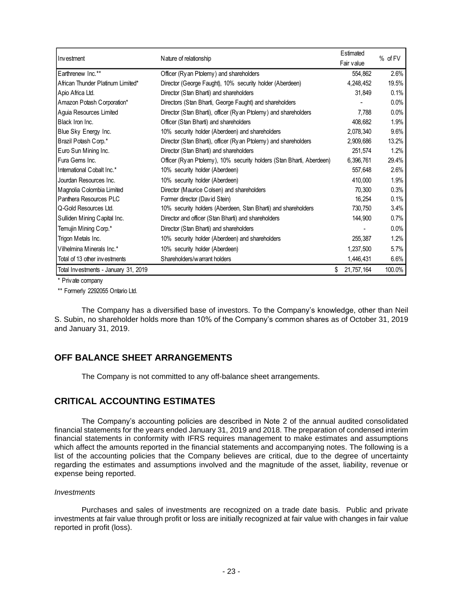|                                      |                                                                       | Estimated  | % of FV |  |
|--------------------------------------|-----------------------------------------------------------------------|------------|---------|--|
| Investment                           | Nature of relationship                                                | Fair value |         |  |
| Earthrenew Inc.**                    | Officer (Ry an Ptolemy) and shareholders                              | 554,862    | 2.6%    |  |
| African Thunder Platinum Limited*    | Director (George Faught), 10% security holder (Aberdeen)              | 4,248,452  | 19.5%   |  |
| Apio Africa Ltd.                     | Director (Stan Bharti) and shareholders                               | 31,849     | 0.1%    |  |
| Amazon Potash Corporation*           | Directors (Stan Bharti, George Faught) and shareholders               |            | 0.0%    |  |
| Aguia Resources Limited              | Director (Stan Bharti), officer (Ry an Ptolemy) and shareholders      | 7,788      | 0.0%    |  |
| Black Iron Inc.                      | Officer (Stan Bharti) and shareholders                                | 408,682    | 1.9%    |  |
| Blue Sky Energy Inc.                 | 10% security holder (Aberdeen) and shareholders                       | 2,078,340  | 9.6%    |  |
| Brazil Potash Corp.*                 | Director (Stan Bharti), officer (Ry an Ptolemy) and shareholders      | 2,909,686  | 13.2%   |  |
| Euro Sun Mining Inc.                 | Director (Stan Bharti) and shareholders                               | 251.574    | 1.2%    |  |
| Fura Gems Inc.                       | Officer (Ry an Ptolemy), 10% security holders (Stan Bharti, Aberdeen) | 6,396,761  | 29.4%   |  |
| International Cobalt Inc.*           | 10% security holder (Aberdeen)                                        | 557,648    | 2.6%    |  |
| Jourdan Resources Inc.               | 10% security holder (Aberdeen)                                        | 410,000    | 1.9%    |  |
| Magnolia Colombia Limited            | Director (Maurice Colsen) and shareholders                            | 70,300     | 0.3%    |  |
| Panthera Resources PLC               | Former director (David Stein)                                         | 16,254     | 0.1%    |  |
| Q-Gold Resources Ltd.                | 10% security holders (Aberdeen, Stan Bharti) and shareholders         | 730,750    | 3.4%    |  |
| Sulliden Mining Capital Inc.         | Director and officer (Stan Bharti) and shareholders                   | 144,900    | 0.7%    |  |
| Temujin Mining Corp.*                | Director (Stan Bharti) and shareholders                               |            | 0.0%    |  |
| Trigon Metals Inc.                   | 10% security holder (Aberdeen) and shareholders                       | 255.387    | 1.2%    |  |
| Vilhelmina Minerals Inc.*            | 10% security holder (Aberdeen)                                        | 1,237,500  | 5.7%    |  |
| Total of 13 other investments        | Shareholders/warrant holders                                          | 1,446,431  | 6.6%    |  |
| Total Investments - January 31, 2019 |                                                                       | 21,757,164 | 100.0%  |  |

\* Private company

\*\* Formerly 2292055 Ontario Ltd.

The Company has a diversified base of investors. To the Company's knowledge, other than Neil S. Subin, no shareholder holds more than 10% of the Company's common shares as of October 31, 2019 and January 31, 2019.

# **OFF BALANCE SHEET ARRANGEMENTS**

The Company is not committed to any off-balance sheet arrangements.

# **CRITICAL ACCOUNTING ESTIMATES**

The Company's accounting policies are described in Note 2 of the annual audited consolidated financial statements for the years ended January 31, 2019 and 2018. The preparation of condensed interim financial statements in conformity with IFRS requires management to make estimates and assumptions which affect the amounts reported in the financial statements and accompanying notes. The following is a list of the accounting policies that the Company believes are critical, due to the degree of uncertainty regarding the estimates and assumptions involved and the magnitude of the asset, liability, revenue or expense being reported.

### *Investments*

Purchases and sales of investments are recognized on a trade date basis. Public and private investments at fair value through profit or loss are initially recognized at fair value with changes in fair value reported in profit (loss).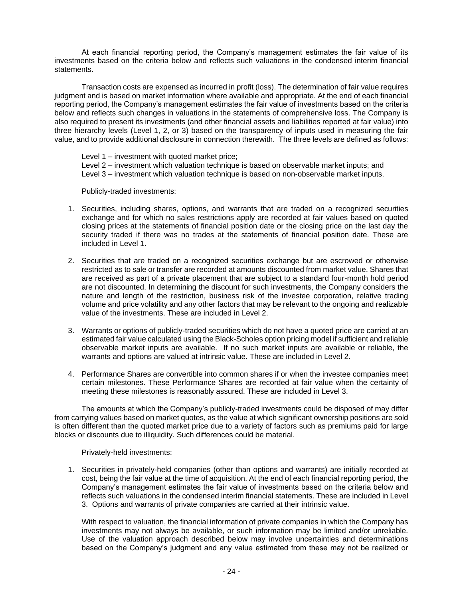At each financial reporting period, the Company's management estimates the fair value of its investments based on the criteria below and reflects such valuations in the condensed interim financial statements.

Transaction costs are expensed as incurred in profit (loss). The determination of fair value requires judgment and is based on market information where available and appropriate. At the end of each financial reporting period, the Company's management estimates the fair value of investments based on the criteria below and reflects such changes in valuations in the statements of comprehensive loss. The Company is also required to present its investments (and other financial assets and liabilities reported at fair value) into three hierarchy levels (Level 1, 2, or 3) based on the transparency of inputs used in measuring the fair value, and to provide additional disclosure in connection therewith. The three levels are defined as follows:

Level 1 – investment with quoted market price; Level 2 – investment which valuation technique is based on observable market inputs; and Level 3 – investment which valuation technique is based on non-observable market inputs.

Publicly-traded investments:

- 1. Securities, including shares, options, and warrants that are traded on a recognized securities exchange and for which no sales restrictions apply are recorded at fair values based on quoted closing prices at the statements of financial position date or the closing price on the last day the security traded if there was no trades at the statements of financial position date. These are included in Level 1.
- 2. Securities that are traded on a recognized securities exchange but are escrowed or otherwise restricted as to sale or transfer are recorded at amounts discounted from market value. Shares that are received as part of a private placement that are subject to a standard four-month hold period are not discounted. In determining the discount for such investments, the Company considers the nature and length of the restriction, business risk of the investee corporation, relative trading volume and price volatility and any other factors that may be relevant to the ongoing and realizable value of the investments. These are included in Level 2.
- 3. Warrants or options of publicly-traded securities which do not have a quoted price are carried at an estimated fair value calculated using the Black-Scholes option pricing model if sufficient and reliable observable market inputs are available. If no such market inputs are available or reliable, the warrants and options are valued at intrinsic value. These are included in Level 2.
- 4. Performance Shares are convertible into common shares if or when the investee companies meet certain milestones. These Performance Shares are recorded at fair value when the certainty of meeting these milestones is reasonably assured. These are included in Level 3.

The amounts at which the Company's publicly-traded investments could be disposed of may differ from carrying values based on market quotes, as the value at which significant ownership positions are sold is often different than the quoted market price due to a variety of factors such as premiums paid for large blocks or discounts due to illiquidity. Such differences could be material.

Privately-held investments:

1. Securities in privately-held companies (other than options and warrants) are initially recorded at cost, being the fair value at the time of acquisition. At the end of each financial reporting period, the Company's management estimates the fair value of investments based on the criteria below and reflects such valuations in the condensed interim financial statements. These are included in Level 3. Options and warrants of private companies are carried at their intrinsic value.

With respect to valuation, the financial information of private companies in which the Company has investments may not always be available, or such information may be limited and/or unreliable. Use of the valuation approach described below may involve uncertainties and determinations based on the Company's judgment and any value estimated from these may not be realized or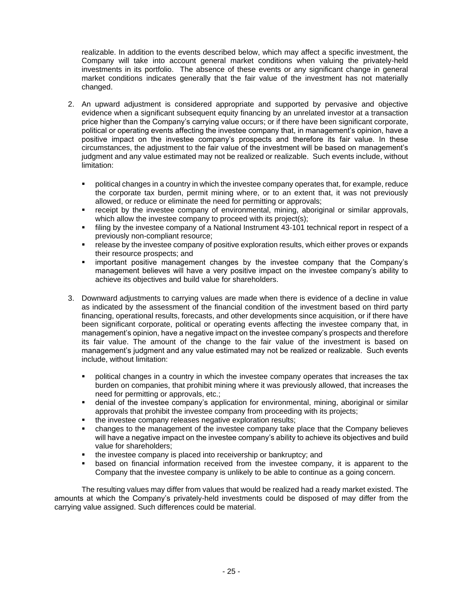realizable. In addition to the events described below, which may affect a specific investment, the Company will take into account general market conditions when valuing the privately-held investments in its portfolio. The absence of these events or any significant change in general market conditions indicates generally that the fair value of the investment has not materially changed.

- 2. An upward adjustment is considered appropriate and supported by pervasive and objective evidence when a significant subsequent equity financing by an unrelated investor at a transaction price higher than the Company's carrying value occurs; or if there have been significant corporate, political or operating events affecting the investee company that, in management's opinion, have a positive impact on the investee company's prospects and therefore its fair value. In these circumstances, the adjustment to the fair value of the investment will be based on management's judgment and any value estimated may not be realized or realizable. Such events include, without limitation:
	- political changes in a country in which the investee company operates that, for example, reduce the corporate tax burden, permit mining where, or to an extent that, it was not previously allowed, or reduce or eliminate the need for permitting or approvals;
	- **•** receipt by the investee company of environmental, mining, aboriginal or similar approvals, which allow the investee company to proceed with its project(s);
	- **•** filing by the investee company of a National Instrument 43-101 technical report in respect of a previously non-compliant resource;
	- release by the investee company of positive exploration results, which either proves or expands their resource prospects; and
	- important positive management changes by the investee company that the Company's management believes will have a very positive impact on the investee company's ability to achieve its objectives and build value for shareholders.
- 3. Downward adjustments to carrying values are made when there is evidence of a decline in value as indicated by the assessment of the financial condition of the investment based on third party financing, operational results, forecasts, and other developments since acquisition, or if there have been significant corporate, political or operating events affecting the investee company that, in management's opinion, have a negative impact on the investee company's prospects and therefore its fair value. The amount of the change to the fair value of the investment is based on management's judgment and any value estimated may not be realized or realizable. Such events include, without limitation:
	- **•** political changes in a country in which the investee company operates that increases the tax burden on companies, that prohibit mining where it was previously allowed, that increases the need for permitting or approvals, etc.;
	- **•** denial of the investee company's application for environmental, mining, aboriginal or similar approvals that prohibit the investee company from proceeding with its projects;
	- the investee company releases negative exploration results;
	- **•** changes to the management of the investee company take place that the Company believes will have a negative impact on the investee company's ability to achieve its objectives and build value for shareholders;
	- the investee company is placed into receivership or bankruptcy; and
	- based on financial information received from the investee company, it is apparent to the Company that the investee company is unlikely to be able to continue as a going concern.

The resulting values may differ from values that would be realized had a ready market existed. The amounts at which the Company's privately-held investments could be disposed of may differ from the carrying value assigned. Such differences could be material.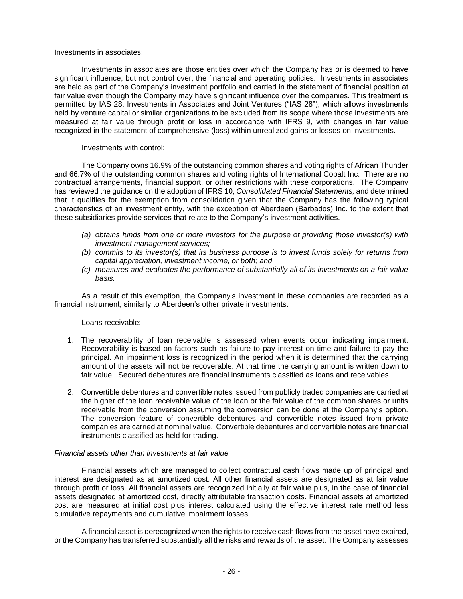#### Investments in associates:

Investments in associates are those entities over which the Company has or is deemed to have significant influence, but not control over, the financial and operating policies. Investments in associates are held as part of the Company's investment portfolio and carried in the statement of financial position at fair value even though the Company may have significant influence over the companies. This treatment is permitted by IAS 28, Investments in Associates and Joint Ventures ("IAS 28"), which allows investments held by venture capital or similar organizations to be excluded from its scope where those investments are measured at fair value through profit or loss in accordance with IFRS 9, with changes in fair value recognized in the statement of comprehensive (loss) within unrealized gains or losses on investments.

### Investments with control:

The Company owns 16.9% of the outstanding common shares and voting rights of African Thunder and 66.7% of the outstanding common shares and voting rights of International Cobalt Inc. There are no contractual arrangements, financial support, or other restrictions with these corporations. The Company has reviewed the guidance on the adoption of IFRS 10, *Consolidated Financial Statements,* and determined that it qualifies for the exemption from consolidation given that the Company has the following typical characteristics of an investment entity, with the exception of Aberdeen (Barbados) Inc. to the extent that these subsidiaries provide services that relate to the Company's investment activities.

- *(a) obtains funds from one or more investors for the purpose of providing those investor(s) with investment management services;*
- *(b) commits to its investor(s) that its business purpose is to invest funds solely for returns from capital appreciation, investment income, or both; and*
- *(c) measures and evaluates the performance of substantially all of its investments on a fair value basis.*

As a result of this exemption, the Company's investment in these companies are recorded as a financial instrument, similarly to Aberdeen's other private investments.

### Loans receivable:

- 1. The recoverability of loan receivable is assessed when events occur indicating impairment. Recoverability is based on factors such as failure to pay interest on time and failure to pay the principal. An impairment loss is recognized in the period when it is determined that the carrying amount of the assets will not be recoverable. At that time the carrying amount is written down to fair value. Secured debentures are financial instruments classified as loans and receivables.
- 2. Convertible debentures and convertible notes issued from publicly traded companies are carried at the higher of the loan receivable value of the loan or the fair value of the common shares or units receivable from the conversion assuming the conversion can be done at the Company's option. The conversion feature of convertible debentures and convertible notes issued from private companies are carried at nominal value. Convertible debentures and convertible notes are financial instruments classified as held for trading.

#### *Financial assets other than investments at fair value*

Financial assets which are managed to collect contractual cash flows made up of principal and interest are designated as at amortized cost. All other financial assets are designated as at fair value through profit or loss. All financial assets are recognized initially at fair value plus, in the case of financial assets designated at amortized cost, directly attributable transaction costs. Financial assets at amortized cost are measured at initial cost plus interest calculated using the effective interest rate method less cumulative repayments and cumulative impairment losses.

A financial asset is derecognized when the rights to receive cash flows from the asset have expired, or the Company has transferred substantially all the risks and rewards of the asset. The Company assesses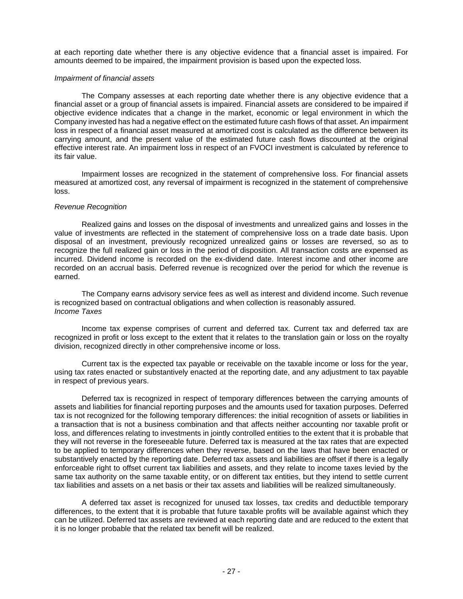at each reporting date whether there is any objective evidence that a financial asset is impaired. For amounts deemed to be impaired, the impairment provision is based upon the expected loss.

#### *Impairment of financial assets*

The Company assesses at each reporting date whether there is any objective evidence that a financial asset or a group of financial assets is impaired. Financial assets are considered to be impaired if objective evidence indicates that a change in the market, economic or legal environment in which the Company invested has had a negative effect on the estimated future cash flows of that asset. An impairment loss in respect of a financial asset measured at amortized cost is calculated as the difference between its carrying amount, and the present value of the estimated future cash flows discounted at the original effective interest rate. An impairment loss in respect of an FVOCI investment is calculated by reference to its fair value.

Impairment losses are recognized in the statement of comprehensive loss. For financial assets measured at amortized cost, any reversal of impairment is recognized in the statement of comprehensive loss.

#### *Revenue Recognition*

Realized gains and losses on the disposal of investments and unrealized gains and losses in the value of investments are reflected in the statement of comprehensive loss on a trade date basis. Upon disposal of an investment, previously recognized unrealized gains or losses are reversed, so as to recognize the full realized gain or loss in the period of disposition. All transaction costs are expensed as incurred. Dividend income is recorded on the ex-dividend date. Interest income and other income are recorded on an accrual basis. Deferred revenue is recognized over the period for which the revenue is earned.

The Company earns advisory service fees as well as interest and dividend income. Such revenue is recognized based on contractual obligations and when collection is reasonably assured. *Income Taxes*

Income tax expense comprises of current and deferred tax. Current tax and deferred tax are recognized in profit or loss except to the extent that it relates to the translation gain or loss on the royalty division, recognized directly in other comprehensive income or loss.

Current tax is the expected tax payable or receivable on the taxable income or loss for the year, using tax rates enacted or substantively enacted at the reporting date, and any adjustment to tax payable in respect of previous years.

Deferred tax is recognized in respect of temporary differences between the carrying amounts of assets and liabilities for financial reporting purposes and the amounts used for taxation purposes. Deferred tax is not recognized for the following temporary differences: the initial recognition of assets or liabilities in a transaction that is not a business combination and that affects neither accounting nor taxable profit or loss, and differences relating to investments in jointly controlled entities to the extent that it is probable that they will not reverse in the foreseeable future. Deferred tax is measured at the tax rates that are expected to be applied to temporary differences when they reverse, based on the laws that have been enacted or substantively enacted by the reporting date. Deferred tax assets and liabilities are offset if there is a legally enforceable right to offset current tax liabilities and assets, and they relate to income taxes levied by the same tax authority on the same taxable entity, or on different tax entities, but they intend to settle current tax liabilities and assets on a net basis or their tax assets and liabilities will be realized simultaneously.

A deferred tax asset is recognized for unused tax losses, tax credits and deductible temporary differences, to the extent that it is probable that future taxable profits will be available against which they can be utilized. Deferred tax assets are reviewed at each reporting date and are reduced to the extent that it is no longer probable that the related tax benefit will be realized.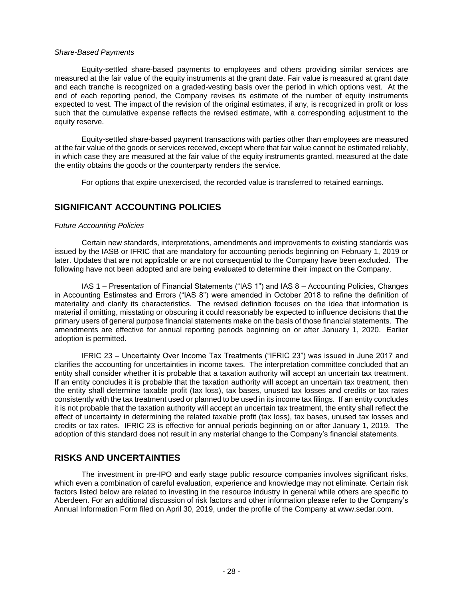#### *Share-Based Payments*

Equity-settled share-based payments to employees and others providing similar services are measured at the fair value of the equity instruments at the grant date. Fair value is measured at grant date and each tranche is recognized on a graded-vesting basis over the period in which options vest. At the end of each reporting period, the Company revises its estimate of the number of equity instruments expected to vest. The impact of the revision of the original estimates, if any, is recognized in profit or loss such that the cumulative expense reflects the revised estimate, with a corresponding adjustment to the equity reserve.

Equity-settled share-based payment transactions with parties other than employees are measured at the fair value of the goods or services received, except where that fair value cannot be estimated reliably, in which case they are measured at the fair value of the equity instruments granted, measured at the date the entity obtains the goods or the counterparty renders the service.

For options that expire unexercised, the recorded value is transferred to retained earnings.

# **SIGNIFICANT ACCOUNTING POLICIES**

### *Future Accounting Policies*

Certain new standards, interpretations, amendments and improvements to existing standards was issued by the IASB or IFRIC that are mandatory for accounting periods beginning on February 1, 2019 or later. Updates that are not applicable or are not consequential to the Company have been excluded. The following have not been adopted and are being evaluated to determine their impact on the Company.

IAS 1 – Presentation of Financial Statements ("IAS 1") and IAS 8 – Accounting Policies, Changes in Accounting Estimates and Errors ("IAS 8") were amended in October 2018 to refine the definition of materiality and clarify its characteristics. The revised definition focuses on the idea that information is material if omitting, misstating or obscuring it could reasonably be expected to influence decisions that the primary users of general purpose financial statements make on the basis of those financial statements. The amendments are effective for annual reporting periods beginning on or after January 1, 2020. Earlier adoption is permitted.

IFRIC 23 – Uncertainty Over Income Tax Treatments ("IFRIC 23") was issued in June 2017 and clarifies the accounting for uncertainties in income taxes. The interpretation committee concluded that an entity shall consider whether it is probable that a taxation authority will accept an uncertain tax treatment. If an entity concludes it is probable that the taxation authority will accept an uncertain tax treatment, then the entity shall determine taxable profit (tax loss), tax bases, unused tax losses and credits or tax rates consistently with the tax treatment used or planned to be used in its income tax filings. If an entity concludes it is not probable that the taxation authority will accept an uncertain tax treatment, the entity shall reflect the effect of uncertainty in determining the related taxable profit (tax loss), tax bases, unused tax losses and credits or tax rates. IFRIC 23 is effective for annual periods beginning on or after January 1, 2019. The adoption of this standard does not result in any material change to the Company's financial statements.

# **RISKS AND UNCERTAINTIES**

The investment in pre-IPO and early stage public resource companies involves significant risks, which even a combination of careful evaluation, experience and knowledge may not eliminate. Certain risk factors listed below are related to investing in the resource industry in general while others are specific to Aberdeen. For an additional discussion of risk factors and other information please refer to the Company's Annual Information Form filed on April 30, 2019, under the profile of the Company at www.sedar.com.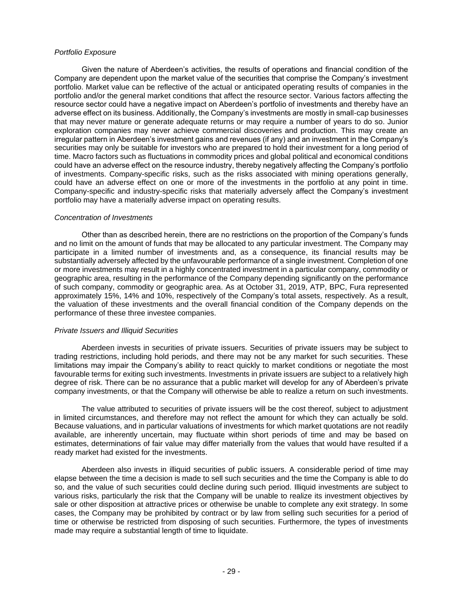### *Portfolio Exposure*

Given the nature of Aberdeen's activities, the results of operations and financial condition of the Company are dependent upon the market value of the securities that comprise the Company's investment portfolio. Market value can be reflective of the actual or anticipated operating results of companies in the portfolio and/or the general market conditions that affect the resource sector. Various factors affecting the resource sector could have a negative impact on Aberdeen's portfolio of investments and thereby have an adverse effect on its business. Additionally, the Company's investments are mostly in small-cap businesses that may never mature or generate adequate returns or may require a number of years to do so. Junior exploration companies may never achieve commercial discoveries and production. This may create an irregular pattern in Aberdeen's investment gains and revenues (if any) and an investment in the Company's securities may only be suitable for investors who are prepared to hold their investment for a long period of time. Macro factors such as fluctuations in commodity prices and global political and economical conditions could have an adverse effect on the resource industry, thereby negatively affecting the Company's portfolio of investments. Company-specific risks, such as the risks associated with mining operations generally, could have an adverse effect on one or more of the investments in the portfolio at any point in time. Company-specific and industry-specific risks that materially adversely affect the Company's investment portfolio may have a materially adverse impact on operating results.

### *Concentration of Investments*

Other than as described herein, there are no restrictions on the proportion of the Company's funds and no limit on the amount of funds that may be allocated to any particular investment. The Company may participate in a limited number of investments and, as a consequence, its financial results may be substantially adversely affected by the unfavourable performance of a single investment. Completion of one or more investments may result in a highly concentrated investment in a particular company, commodity or geographic area, resulting in the performance of the Company depending significantly on the performance of such company, commodity or geographic area. As at October 31, 2019, ATP, BPC, Fura represented approximately 15%, 14% and 10%, respectively of the Company's total assets, respectively. As a result, the valuation of these investments and the overall financial condition of the Company depends on the performance of these three investee companies.

### *Private Issuers and Illiquid Securities*

Aberdeen invests in securities of private issuers. Securities of private issuers may be subject to trading restrictions, including hold periods, and there may not be any market for such securities. These limitations may impair the Company's ability to react quickly to market conditions or negotiate the most favourable terms for exiting such investments. Investments in private issuers are subject to a relatively high degree of risk. There can be no assurance that a public market will develop for any of Aberdeen's private company investments, or that the Company will otherwise be able to realize a return on such investments.

The value attributed to securities of private issuers will be the cost thereof, subject to adjustment in limited circumstances, and therefore may not reflect the amount for which they can actually be sold. Because valuations, and in particular valuations of investments for which market quotations are not readily available, are inherently uncertain, may fluctuate within short periods of time and may be based on estimates, determinations of fair value may differ materially from the values that would have resulted if a ready market had existed for the investments.

Aberdeen also invests in illiquid securities of public issuers. A considerable period of time may elapse between the time a decision is made to sell such securities and the time the Company is able to do so, and the value of such securities could decline during such period. Illiquid investments are subject to various risks, particularly the risk that the Company will be unable to realize its investment objectives by sale or other disposition at attractive prices or otherwise be unable to complete any exit strategy. In some cases, the Company may be prohibited by contract or by law from selling such securities for a period of time or otherwise be restricted from disposing of such securities. Furthermore, the types of investments made may require a substantial length of time to liquidate.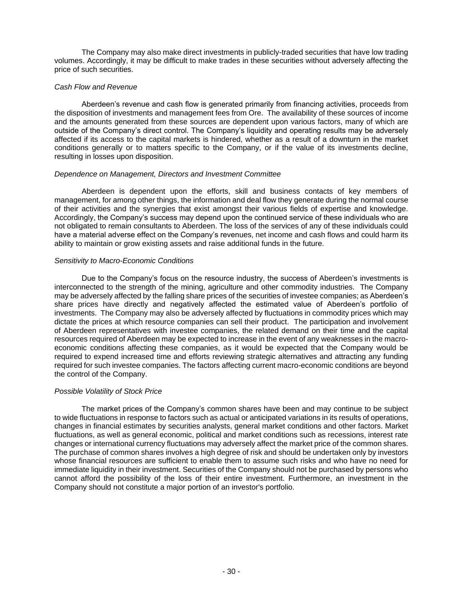The Company may also make direct investments in publicly-traded securities that have low trading volumes. Accordingly, it may be difficult to make trades in these securities without adversely affecting the price of such securities.

### *Cash Flow and Revenue*

Aberdeen's revenue and cash flow is generated primarily from financing activities, proceeds from the disposition of investments and management fees from Ore. The availability of these sources of income and the amounts generated from these sources are dependent upon various factors, many of which are outside of the Company's direct control. The Company's liquidity and operating results may be adversely affected if its access to the capital markets is hindered, whether as a result of a downturn in the market conditions generally or to matters specific to the Company, or if the value of its investments decline, resulting in losses upon disposition.

### *Dependence on Management, Directors and Investment Committee*

Aberdeen is dependent upon the efforts, skill and business contacts of key members of management, for among other things, the information and deal flow they generate during the normal course of their activities and the synergies that exist amongst their various fields of expertise and knowledge. Accordingly, the Company's success may depend upon the continued service of these individuals who are not obligated to remain consultants to Aberdeen. The loss of the services of any of these individuals could have a material adverse effect on the Company's revenues, net income and cash flows and could harm its ability to maintain or grow existing assets and raise additional funds in the future.

### *Sensitivity to Macro-Economic Conditions*

Due to the Company's focus on the resource industry, the success of Aberdeen's investments is interconnected to the strength of the mining, agriculture and other commodity industries. The Company may be adversely affected by the falling share prices of the securities of investee companies; as Aberdeen's share prices have directly and negatively affected the estimated value of Aberdeen's portfolio of investments. The Company may also be adversely affected by fluctuations in commodity prices which may dictate the prices at which resource companies can sell their product. The participation and involvement of Aberdeen representatives with investee companies, the related demand on their time and the capital resources required of Aberdeen may be expected to increase in the event of any weaknesses in the macroeconomic conditions affecting these companies, as it would be expected that the Company would be required to expend increased time and efforts reviewing strategic alternatives and attracting any funding required for such investee companies. The factors affecting current macro-economic conditions are beyond the control of the Company.

### *Possible Volatility of Stock Price*

The market prices of the Company's common shares have been and may continue to be subject to wide fluctuations in response to factors such as actual or anticipated variations in its results of operations, changes in financial estimates by securities analysts, general market conditions and other factors. Market fluctuations, as well as general economic, political and market conditions such as recessions, interest rate changes or international currency fluctuations may adversely affect the market price of the common shares. The purchase of common shares involves a high degree of risk and should be undertaken only by investors whose financial resources are sufficient to enable them to assume such risks and who have no need for immediate liquidity in their investment. Securities of the Company should not be purchased by persons who cannot afford the possibility of the loss of their entire investment. Furthermore, an investment in the Company should not constitute a major portion of an investor's portfolio.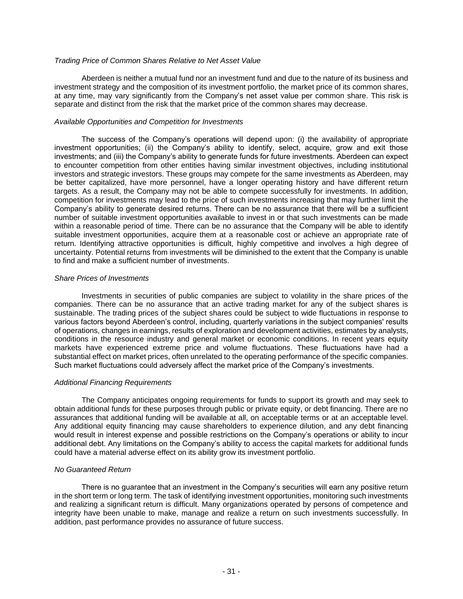#### *Trading Price of Common Shares Relative to Net Asset Value*

Aberdeen is neither a mutual fund nor an investment fund and due to the nature of its business and investment strategy and the composition of its investment portfolio, the market price of its common shares, at any time, may vary significantly from the Company's net asset value per common share. This risk is separate and distinct from the risk that the market price of the common shares may decrease.

#### *Available Opportunities and Competition for Investments*

The success of the Company's operations will depend upon: (i) the availability of appropriate investment opportunities; (ii) the Company's ability to identify, select, acquire, grow and exit those investments; and (iii) the Company's ability to generate funds for future investments. Aberdeen can expect to encounter competition from other entities having similar investment objectives, including institutional investors and strategic investors. These groups may compete for the same investments as Aberdeen, may be better capitalized, have more personnel, have a longer operating history and have different return targets. As a result, the Company may not be able to compete successfully for investments. In addition, competition for investments may lead to the price of such investments increasing that may further limit the Company's ability to generate desired returns. There can be no assurance that there will be a sufficient number of suitable investment opportunities available to invest in or that such investments can be made within a reasonable period of time. There can be no assurance that the Company will be able to identify suitable investment opportunities, acquire them at a reasonable cost or achieve an appropriate rate of return. Identifying attractive opportunities is difficult, highly competitive and involves a high degree of uncertainty. Potential returns from investments will be diminished to the extent that the Company is unable to find and make a sufficient number of investments.

#### *Share Prices of Investments*

Investments in securities of public companies are subject to volatility in the share prices of the companies. There can be no assurance that an active trading market for any of the subject shares is sustainable. The trading prices of the subject shares could be subject to wide fluctuations in response to various factors beyond Aberdeen's control, including, quarterly variations in the subject companies' results of operations, changes in earnings, results of exploration and development activities, estimates by analysts, conditions in the resource industry and general market or economic conditions. In recent years equity markets have experienced extreme price and volume fluctuations. These fluctuations have had a substantial effect on market prices, often unrelated to the operating performance of the specific companies. Such market fluctuations could adversely affect the market price of the Company's investments.

### *Additional Financing Requirements*

The Company anticipates ongoing requirements for funds to support its growth and may seek to obtain additional funds for these purposes through public or private equity, or debt financing. There are no assurances that additional funding will be available at all, on acceptable terms or at an acceptable level. Any additional equity financing may cause shareholders to experience dilution, and any debt financing would result in interest expense and possible restrictions on the Company's operations or ability to incur additional debt. Any limitations on the Company's ability to access the capital markets for additional funds could have a material adverse effect on its ability grow its investment portfolio.

### *No Guaranteed Return*

There is no guarantee that an investment in the Company's securities will earn any positive return in the short term or long term. The task of identifying investment opportunities, monitoring such investments and realizing a significant return is difficult. Many organizations operated by persons of competence and integrity have been unable to make, manage and realize a return on such investments successfully. In addition, past performance provides no assurance of future success.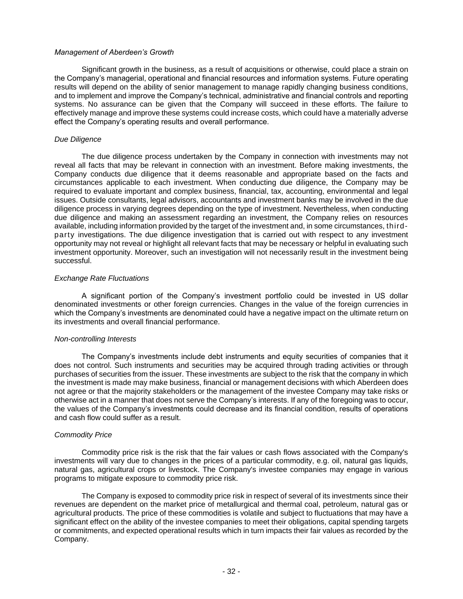#### *Management of Aberdeen's Growth*

Significant growth in the business, as a result of acquisitions or otherwise, could place a strain on the Company's managerial, operational and financial resources and information systems. Future operating results will depend on the ability of senior management to manage rapidly changing business conditions, and to implement and improve the Company's technical, administrative and financial controls and reporting systems. No assurance can be given that the Company will succeed in these efforts. The failure to effectively manage and improve these systems could increase costs, which could have a materially adverse effect the Company's operating results and overall performance.

#### *Due Diligence*

The due diligence process undertaken by the Company in connection with investments may not reveal all facts that may be relevant in connection with an investment. Before making investments, the Company conducts due diligence that it deems reasonable and appropriate based on the facts and circumstances applicable to each investment. When conducting due diligence, the Company may be required to evaluate important and complex business, financial, tax, accounting, environmental and legal issues. Outside consultants, legal advisors, accountants and investment banks may be involved in the due diligence process in varying degrees depending on the type of investment. Nevertheless, when conducting due diligence and making an assessment regarding an investment, the Company relies on resources available, including information provided by the target of the investment and, in some circumstances, thirdparty investigations. The due diligence investigation that is carried out with respect to any investment opportunity may not reveal or highlight all relevant facts that may be necessary or helpful in evaluating such investment opportunity. Moreover, such an investigation will not necessarily result in the investment being successful.

#### *Exchange Rate Fluctuations*

A significant portion of the Company's investment portfolio could be invested in US dollar denominated investments or other foreign currencies. Changes in the value of the foreign currencies in which the Company's investments are denominated could have a negative impact on the ultimate return on its investments and overall financial performance.

### *Non-controlling Interests*

The Company's investments include debt instruments and equity securities of companies that it does not control. Such instruments and securities may be acquired through trading activities or through purchases of securities from the issuer. These investments are subject to the risk that the company in which the investment is made may make business, financial or management decisions with which Aberdeen does not agree or that the majority stakeholders or the management of the investee Company may take risks or otherwise act in a manner that does not serve the Company's interests. If any of the foregoing was to occur, the values of the Company's investments could decrease and its financial condition, results of operations and cash flow could suffer as a result.

### *Commodity Price*

Commodity price risk is the risk that the fair values or cash flows associated with the Company's investments will vary due to changes in the prices of a particular commodity, e.g. oil, natural gas liquids, natural gas, agricultural crops or livestock. The Company's investee companies may engage in various programs to mitigate exposure to commodity price risk.

The Company is exposed to commodity price risk in respect of several of its investments since their revenues are dependent on the market price of metallurgical and thermal coal, petroleum, natural gas or agricultural products. The price of these commodities is volatile and subject to fluctuations that may have a significant effect on the ability of the investee companies to meet their obligations, capital spending targets or commitments, and expected operational results which in turn impacts their fair values as recorded by the Company.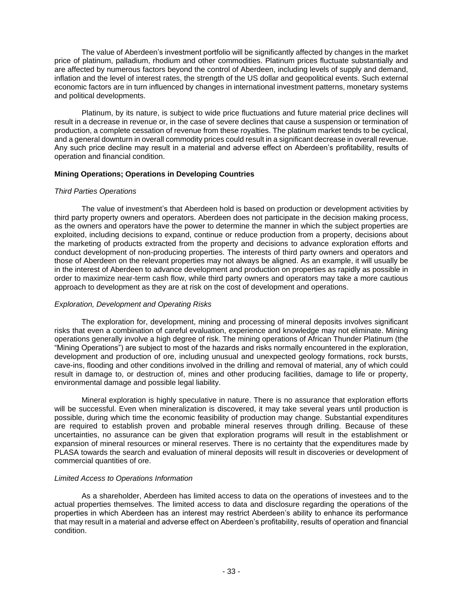The value of Aberdeen's investment portfolio will be significantly affected by changes in the market price of platinum, palladium, rhodium and other commodities. Platinum prices fluctuate substantially and are affected by numerous factors beyond the control of Aberdeen, including levels of supply and demand, inflation and the level of interest rates, the strength of the US dollar and geopolitical events. Such external economic factors are in turn influenced by changes in international investment patterns, monetary systems and political developments.

Platinum, by its nature, is subject to wide price fluctuations and future material price declines will result in a decrease in revenue or, in the case of severe declines that cause a suspension or termination of production, a complete cessation of revenue from these royalties. The platinum market tends to be cyclical, and a general downturn in overall commodity prices could result in a significant decrease in overall revenue. Any such price decline may result in a material and adverse effect on Aberdeen's profitability, results of operation and financial condition.

### **Mining Operations; Operations in Developing Countries**

### *Third Parties Operations*

The value of investment's that Aberdeen hold is based on production or development activities by third party property owners and operators. Aberdeen does not participate in the decision making process, as the owners and operators have the power to determine the manner in which the subject properties are exploited, including decisions to expand, continue or reduce production from a property, decisions about the marketing of products extracted from the property and decisions to advance exploration efforts and conduct development of non-producing properties. The interests of third party owners and operators and those of Aberdeen on the relevant properties may not always be aligned. As an example, it will usually be in the interest of Aberdeen to advance development and production on properties as rapidly as possible in order to maximize near-term cash flow, while third party owners and operators may take a more cautious approach to development as they are at risk on the cost of development and operations.

### *Exploration, Development and Operating Risks*

The exploration for, development, mining and processing of mineral deposits involves significant risks that even a combination of careful evaluation, experience and knowledge may not eliminate. Mining operations generally involve a high degree of risk. The mining operations of African Thunder Platinum (the "Mining Operations") are subject to most of the hazards and risks normally encountered in the exploration, development and production of ore, including unusual and unexpected geology formations, rock bursts, cave-ins, flooding and other conditions involved in the drilling and removal of material, any of which could result in damage to, or destruction of, mines and other producing facilities, damage to life or property, environmental damage and possible legal liability.

Mineral exploration is highly speculative in nature. There is no assurance that exploration efforts will be successful. Even when mineralization is discovered, it may take several years until production is possible, during which time the economic feasibility of production may change. Substantial expenditures are required to establish proven and probable mineral reserves through drilling. Because of these uncertainties, no assurance can be given that exploration programs will result in the establishment or expansion of mineral resources or mineral reserves. There is no certainty that the expenditures made by PLASA towards the search and evaluation of mineral deposits will result in discoveries or development of commercial quantities of ore.

### *Limited Access to Operations Information*

As a shareholder, Aberdeen has limited access to data on the operations of investees and to the actual properties themselves. The limited access to data and disclosure regarding the operations of the properties in which Aberdeen has an interest may restrict Aberdeen's ability to enhance its performance that may result in a material and adverse effect on Aberdeen's profitability, results of operation and financial condition.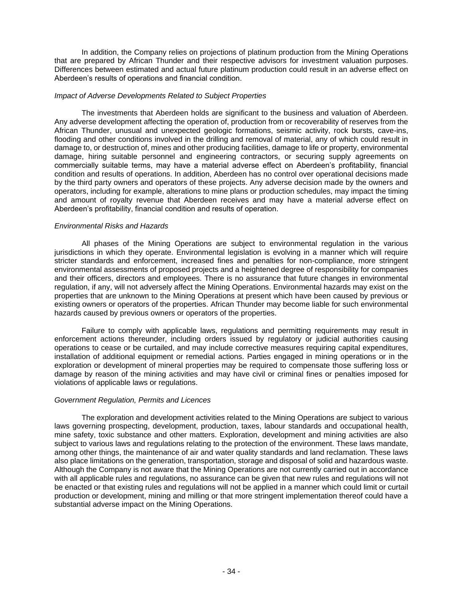In addition, the Company relies on projections of platinum production from the Mining Operations that are prepared by African Thunder and their respective advisors for investment valuation purposes. Differences between estimated and actual future platinum production could result in an adverse effect on Aberdeen's results of operations and financial condition.

### *Impact of Adverse Developments Related to Subject Properties*

The investments that Aberdeen holds are significant to the business and valuation of Aberdeen. Any adverse development affecting the operation of, production from or recoverability of reserves from the African Thunder, unusual and unexpected geologic formations, seismic activity, rock bursts, cave-ins, flooding and other conditions involved in the drilling and removal of material, any of which could result in damage to, or destruction of, mines and other producing facilities, damage to life or property, environmental damage, hiring suitable personnel and engineering contractors, or securing supply agreements on commercially suitable terms, may have a material adverse effect on Aberdeen's profitability, financial condition and results of operations. In addition, Aberdeen has no control over operational decisions made by the third party owners and operators of these projects. Any adverse decision made by the owners and operators, including for example, alterations to mine plans or production schedules, may impact the timing and amount of royalty revenue that Aberdeen receives and may have a material adverse effect on Aberdeen's profitability, financial condition and results of operation.

#### *Environmental Risks and Hazards*

All phases of the Mining Operations are subject to environmental regulation in the various jurisdictions in which they operate. Environmental legislation is evolving in a manner which will require stricter standards and enforcement, increased fines and penalties for non-compliance, more stringent environmental assessments of proposed projects and a heightened degree of responsibility for companies and their officers, directors and employees. There is no assurance that future changes in environmental regulation, if any, will not adversely affect the Mining Operations. Environmental hazards may exist on the properties that are unknown to the Mining Operations at present which have been caused by previous or existing owners or operators of the properties. African Thunder may become liable for such environmental hazards caused by previous owners or operators of the properties.

Failure to comply with applicable laws, regulations and permitting requirements may result in enforcement actions thereunder, including orders issued by regulatory or judicial authorities causing operations to cease or be curtailed, and may include corrective measures requiring capital expenditures, installation of additional equipment or remedial actions. Parties engaged in mining operations or in the exploration or development of mineral properties may be required to compensate those suffering loss or damage by reason of the mining activities and may have civil or criminal fines or penalties imposed for violations of applicable laws or regulations.

#### *Government Regulation, Permits and Licences*

The exploration and development activities related to the Mining Operations are subject to various laws governing prospecting, development, production, taxes, labour standards and occupational health, mine safety, toxic substance and other matters. Exploration, development and mining activities are also subject to various laws and regulations relating to the protection of the environment. These laws mandate, among other things, the maintenance of air and water quality standards and land reclamation. These laws also place limitations on the generation, transportation, storage and disposal of solid and hazardous waste. Although the Company is not aware that the Mining Operations are not currently carried out in accordance with all applicable rules and regulations, no assurance can be given that new rules and regulations will not be enacted or that existing rules and regulations will not be applied in a manner which could limit or curtail production or development, mining and milling or that more stringent implementation thereof could have a substantial adverse impact on the Mining Operations.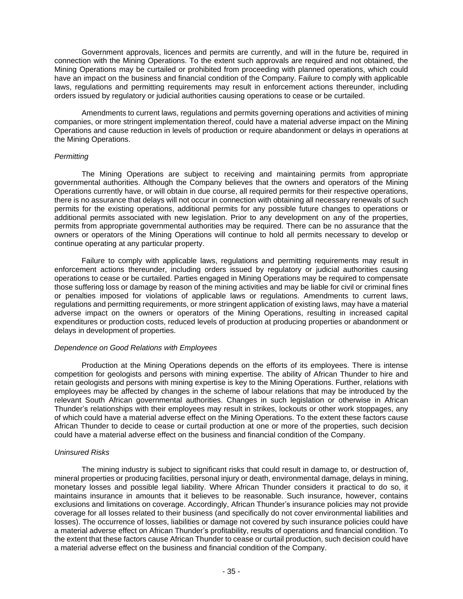Government approvals, licences and permits are currently, and will in the future be, required in connection with the Mining Operations. To the extent such approvals are required and not obtained, the Mining Operations may be curtailed or prohibited from proceeding with planned operations, which could have an impact on the business and financial condition of the Company. Failure to comply with applicable laws, regulations and permitting requirements may result in enforcement actions thereunder, including orders issued by regulatory or judicial authorities causing operations to cease or be curtailed.

Amendments to current laws, regulations and permits governing operations and activities of mining companies, or more stringent implementation thereof, could have a material adverse impact on the Mining Operations and cause reduction in levels of production or require abandonment or delays in operations at the Mining Operations.

### *Permitting*

The Mining Operations are subject to receiving and maintaining permits from appropriate governmental authorities. Although the Company believes that the owners and operators of the Mining Operations currently have, or will obtain in due course, all required permits for their respective operations, there is no assurance that delays will not occur in connection with obtaining all necessary renewals of such permits for the existing operations, additional permits for any possible future changes to operations or additional permits associated with new legislation. Prior to any development on any of the properties, permits from appropriate governmental authorities may be required. There can be no assurance that the owners or operators of the Mining Operations will continue to hold all permits necessary to develop or continue operating at any particular property.

Failure to comply with applicable laws, regulations and permitting requirements may result in enforcement actions thereunder, including orders issued by regulatory or judicial authorities causing operations to cease or be curtailed. Parties engaged in Mining Operations may be required to compensate those suffering loss or damage by reason of the mining activities and may be liable for civil or criminal fines or penalties imposed for violations of applicable laws or regulations. Amendments to current laws, regulations and permitting requirements, or more stringent application of existing laws, may have a material adverse impact on the owners or operators of the Mining Operations, resulting in increased capital expenditures or production costs, reduced levels of production at producing properties or abandonment or delays in development of properties.

### *Dependence on Good Relations with Employees*

Production at the Mining Operations depends on the efforts of its employees. There is intense competition for geologists and persons with mining expertise. The ability of African Thunder to hire and retain geologists and persons with mining expertise is key to the Mining Operations. Further, relations with employees may be affected by changes in the scheme of labour relations that may be introduced by the relevant South African governmental authorities. Changes in such legislation or otherwise in African Thunder's relationships with their employees may result in strikes, lockouts or other work stoppages, any of which could have a material adverse effect on the Mining Operations. To the extent these factors cause African Thunder to decide to cease or curtail production at one or more of the properties, such decision could have a material adverse effect on the business and financial condition of the Company.

### *Uninsured Risks*

The mining industry is subject to significant risks that could result in damage to, or destruction of, mineral properties or producing facilities, personal injury or death, environmental damage, delays in mining, monetary losses and possible legal liability. Where African Thunder considers it practical to do so, it maintains insurance in amounts that it believes to be reasonable. Such insurance, however, contains exclusions and limitations on coverage. Accordingly, African Thunder's insurance policies may not provide coverage for all losses related to their business (and specifically do not cover environmental liabilities and losses). The occurrence of losses, liabilities or damage not covered by such insurance policies could have a material adverse effect on African Thunder's profitability, results of operations and financial condition. To the extent that these factors cause African Thunder to cease or curtail production, such decision could have a material adverse effect on the business and financial condition of the Company.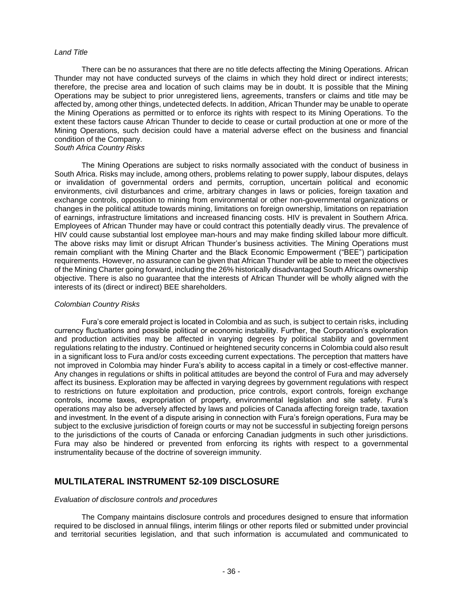#### *Land Title*

There can be no assurances that there are no title defects affecting the Mining Operations. African Thunder may not have conducted surveys of the claims in which they hold direct or indirect interests; therefore, the precise area and location of such claims may be in doubt. It is possible that the Mining Operations may be subject to prior unregistered liens, agreements, transfers or claims and title may be affected by, among other things, undetected defects. In addition, African Thunder may be unable to operate the Mining Operations as permitted or to enforce its rights with respect to its Mining Operations. To the extent these factors cause African Thunder to decide to cease or curtail production at one or more of the Mining Operations, such decision could have a material adverse effect on the business and financial condition of the Company.

### *South Africa Country Risks*

 The Mining Operations are subject to risks normally associated with the conduct of business in South Africa. Risks may include, among others, problems relating to power supply, labour disputes, delays or invalidation of governmental orders and permits, corruption, uncertain political and economic environments, civil disturbances and crime, arbitrary changes in laws or policies, foreign taxation and exchange controls, opposition to mining from environmental or other non-governmental organizations or changes in the political attitude towards mining, limitations on foreign ownership, limitations on repatriation of earnings, infrastructure limitations and increased financing costs. HIV is prevalent in Southern Africa. Employees of African Thunder may have or could contract this potentially deadly virus. The prevalence of HIV could cause substantial lost employee man-hours and may make finding skilled labour more difficult. The above risks may limit or disrupt African Thunder's business activities. The Mining Operations must remain compliant with the Mining Charter and the Black Economic Empowerment ("BEE") participation requirements. However, no assurance can be given that African Thunder will be able to meet the objectives of the Mining Charter going forward, including the 26% historically disadvantaged South Africans ownership objective. There is also no guarantee that the interests of African Thunder will be wholly aligned with the interests of its (direct or indirect) BEE shareholders.

### *Colombian Country Risks*

Fura's core emerald project is located in Colombia and as such, is subject to certain risks, including currency fluctuations and possible political or economic instability. Further, the Corporation's exploration and production activities may be affected in varying degrees by political stability and government regulations relating to the industry. Continued or heightened security concerns in Colombia could also result in a significant loss to Fura and/or costs exceeding current expectations. The perception that matters have not improved in Colombia may hinder Fura's ability to access capital in a timely or cost-effective manner. Any changes in regulations or shifts in political attitudes are beyond the control of Fura and may adversely affect its business. Exploration may be affected in varying degrees by government regulations with respect to restrictions on future exploitation and production, price controls, export controls, foreign exchange controls, income taxes, expropriation of property, environmental legislation and site safety. Fura's operations may also be adversely affected by laws and policies of Canada affecting foreign trade, taxation and investment. In the event of a dispute arising in connection with Fura's foreign operations, Fura may be subject to the exclusive jurisdiction of foreign courts or may not be successful in subjecting foreign persons to the jurisdictions of the courts of Canada or enforcing Canadian judgments in such other jurisdictions. Fura may also be hindered or prevented from enforcing its rights with respect to a governmental instrumentality because of the doctrine of sovereign immunity.

# **MULTILATERAL INSTRUMENT 52-109 DISCLOSURE**

#### *Evaluation of disclosure controls and procedures*

The Company maintains disclosure controls and procedures designed to ensure that information required to be disclosed in annual filings, interim filings or other reports filed or submitted under provincial and territorial securities legislation, and that such information is accumulated and communicated to